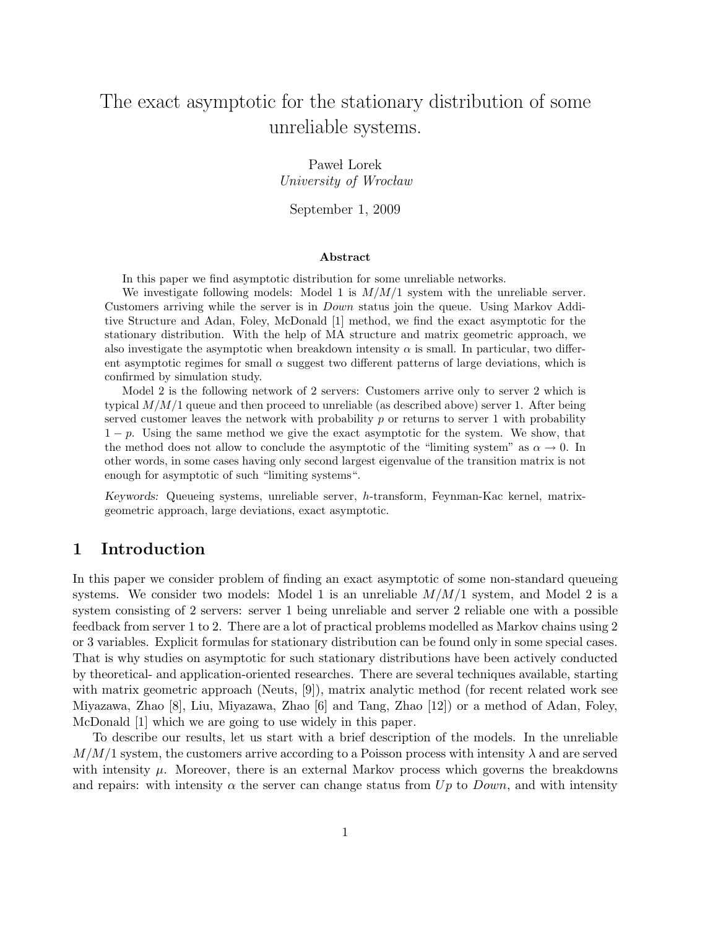# The exact asymptotic for the stationary distribution of some unreliable systems.

Paweł Lorek University of Wrocław

September 1, 2009

#### Abstract

In this paper we find asymptotic distribution for some unreliable networks.

We investigate following models: Model 1 is  $M/M/1$  system with the unreliable server. Customers arriving while the server is in  $Down$  status join the queue. Using Markov Additive Structure and Adan, Foley, McDonald [1] method, we find the exact asymptotic for the stationary distribution. With the help of MA structure and matrix geometric approach, we also investigate the asymptotic when breakdown intensity  $\alpha$  is small. In particular, two different asymptotic regimes for small  $\alpha$  suggest two different patterns of large deviations, which is confirmed by simulation study.

Model 2 is the following network of 2 servers: Customers arrive only to server 2 which is typical  $M/M/1$  queue and then proceed to unreliable (as described above) server 1. After being served customer leaves the network with probability  $p$  or returns to server 1 with probability  $1-p$ . Using the same method we give the exact asymptotic for the system. We show, that the method does not allow to conclude the asymptotic of the "limiting system" as  $\alpha \to 0$ . In other words, in some cases having only second largest eigenvalue of the transition matrix is not enough for asymptotic of such "limiting systems".

Keywords: Queueing systems, unreliable server, h-transform, Feynman-Kac kernel, matrixgeometric approach, large deviations, exact asymptotic.

# 1 Introduction

In this paper we consider problem of finding an exact asymptotic of some non-standard queueing systems. We consider two models: Model 1 is an unreliable  $M/M/1$  system, and Model 2 is a system consisting of 2 servers: server 1 being unreliable and server 2 reliable one with a possible feedback from server 1 to 2. There are a lot of practical problems modelled as Markov chains using 2 or 3 variables. Explicit formulas for stationary distribution can be found only in some special cases. That is why studies on asymptotic for such stationary distributions have been actively conducted by theoretical- and application-oriented researches. There are several techniques available, starting with matrix geometric approach (Neuts, [9]), matrix analytic method (for recent related work see Miyazawa, Zhao [8], Liu, Miyazawa, Zhao [6] and Tang, Zhao [12]) or a method of Adan, Foley, McDonald [1] which we are going to use widely in this paper.

To describe our results, let us start with a brief description of the models. In the unreliable  $M/M/1$  system, the customers arrive according to a Poisson process with intensity  $\lambda$  and are served with intensity  $\mu$ . Moreover, there is an external Markov process which governs the breakdowns and repairs: with intensity  $\alpha$  the server can change status from  $Up$  to  $Down$ , and with intensity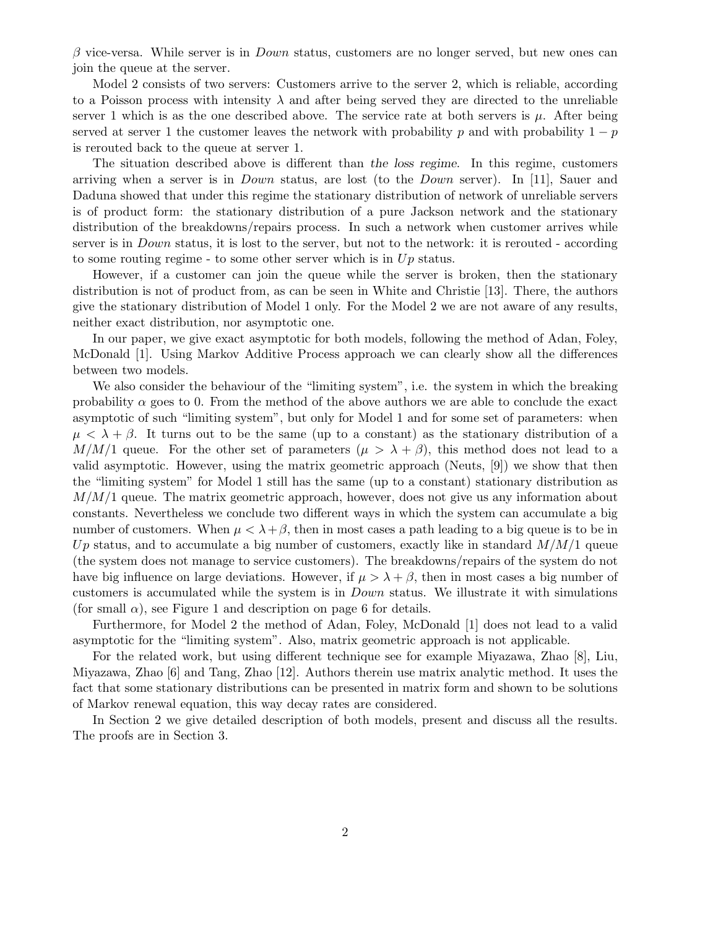$\beta$  vice-versa. While server is in *Down* status, customers are no longer served, but new ones can join the queue at the server.

Model 2 consists of two servers: Customers arrive to the server 2, which is reliable, according to a Poisson process with intensity  $\lambda$  and after being served they are directed to the unreliable server 1 which is as the one described above. The service rate at both servers is  $\mu$ . After being served at server 1 the customer leaves the network with probability p and with probability  $1 - p$ is rerouted back to the queue at server 1.

The situation described above is different than the loss regime. In this regime, customers arriving when a server is in Down status, are lost (to the Down server). In [11], Sauer and Daduna showed that under this regime the stationary distribution of network of unreliable servers is of product form: the stationary distribution of a pure Jackson network and the stationary distribution of the breakdowns/repairs process. In such a network when customer arrives while server is in Down status, it is lost to the server, but not to the network: it is rerouted - according to some routing regime - to some other server which is in  $Up$  status.

However, if a customer can join the queue while the server is broken, then the stationary distribution is not of product from, as can be seen in White and Christie [13]. There, the authors give the stationary distribution of Model 1 only. For the Model 2 we are not aware of any results, neither exact distribution, nor asymptotic one.

In our paper, we give exact asymptotic for both models, following the method of Adan, Foley, McDonald [1]. Using Markov Additive Process approach we can clearly show all the differences between two models.

We also consider the behaviour of the "limiting system", i.e. the system in which the breaking probability  $\alpha$  goes to 0. From the method of the above authors we are able to conclude the exact asymptotic of such "limiting system", but only for Model 1 and for some set of parameters: when  $\mu < \lambda + \beta$ . It turns out to be the same (up to a constant) as the stationary distribution of a  $M/M/1$  queue. For the other set of parameters  $(\mu > \lambda + \beta)$ , this method does not lead to a valid asymptotic. However, using the matrix geometric approach (Neuts, [9]) we show that then the "limiting system" for Model 1 still has the same (up to a constant) stationary distribution as  $M/M/1$  queue. The matrix geometric approach, however, does not give us any information about constants. Nevertheless we conclude two different ways in which the system can accumulate a big number of customers. When  $\mu < \lambda + \beta$ , then in most cases a path leading to a big queue is to be in Up status, and to accumulate a big number of customers, exactly like in standard  $M/M/1$  queue (the system does not manage to service customers). The breakdowns/repairs of the system do not have big influence on large deviations. However, if  $\mu > \lambda + \beta$ , then in most cases a big number of customers is accumulated while the system is in Down status. We illustrate it with simulations (for small  $\alpha$ ), see Figure 1 and description on page 6 for details.

Furthermore, for Model 2 the method of Adan, Foley, McDonald [1] does not lead to a valid asymptotic for the "limiting system". Also, matrix geometric approach is not applicable.

For the related work, but using different technique see for example Miyazawa, Zhao [8], Liu, Miyazawa, Zhao [6] and Tang, Zhao [12]. Authors therein use matrix analytic method. It uses the fact that some stationary distributions can be presented in matrix form and shown to be solutions of Markov renewal equation, this way decay rates are considered.

In Section 2 we give detailed description of both models, present and discuss all the results. The proofs are in Section 3.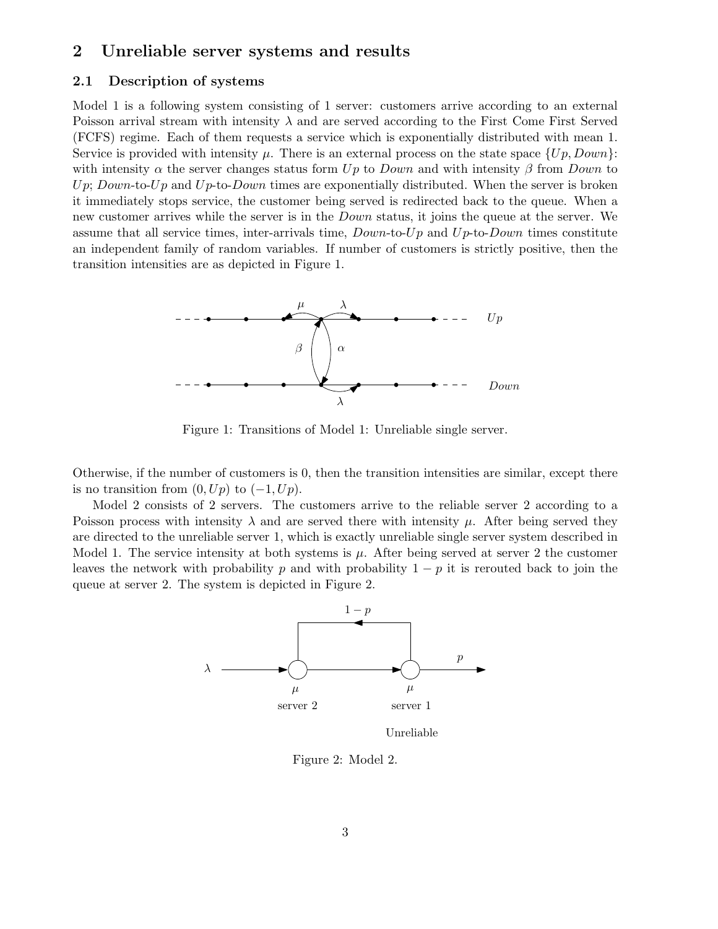# 2 Unreliable server systems and results

### 2.1 Description of systems

Model 1 is a following system consisting of 1 server: customers arrive according to an external Poisson arrival stream with intensity  $\lambda$  and are served according to the First Come First Served (FCFS) regime. Each of them requests a service which is exponentially distributed with mean 1. Service is provided with intensity  $\mu$ . There is an external process on the state space  $\{Up, Down\}$ : with intensity  $\alpha$  the server changes status form Up to Down and with intensity  $\beta$  from Down to Up; Down-to-Up and Up-to-Down times are exponentially distributed. When the server is broken it immediately stops service, the customer being served is redirected back to the queue. When a new customer arrives while the server is in the *Down* status, it joins the queue at the server. We assume that all service times, inter-arrivals time,  $Down-to-Up$  and  $Up-to-Down$  times constitute an independent family of random variables. If number of customers is strictly positive, then the transition intensities are as depicted in Figure 1.



Figure 1: Transitions of Model 1: Unreliable single server.

Otherwise, if the number of customers is 0, then the transition intensities are similar, except there is no transition from  $(0, Up)$  to  $(-1, Up)$ .

Model 2 consists of 2 servers. The customers arrive to the reliable server 2 according to a Poisson process with intensity  $\lambda$  and are served there with intensity  $\mu$ . After being served they are directed to the unreliable server 1, which is exactly unreliable single server system described in Model 1. The service intensity at both systems is  $\mu$ . After being served at server 2 the customer leaves the network with probability p and with probability  $1 - p$  it is rerouted back to join the queue at server 2. The system is depicted in Figure 2.



Unreliable

Figure 2: Model 2.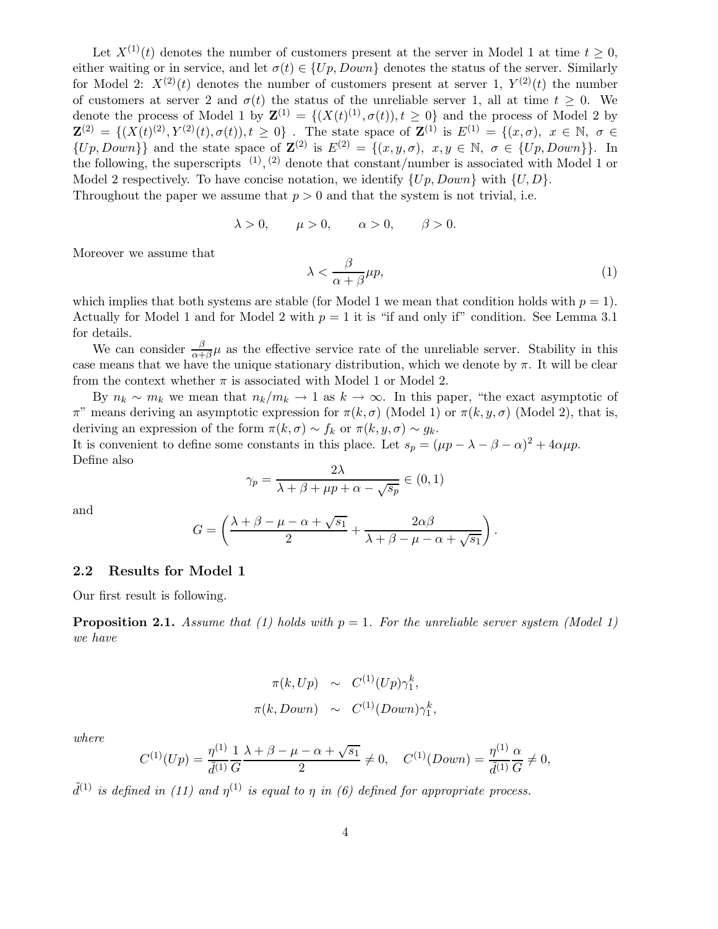Let  $X^{(1)}(t)$  denotes the number of customers present at the server in Model 1 at time  $t \geq 0$ , either waiting or in service, and let  $\sigma(t) \in \{Up, Down\}$  denotes the status of the server. Similarly for Model 2:  $X^{(2)}(t)$  denotes the number of customers present at server 1,  $Y^{(2)}(t)$  the number of customers at server 2 and  $\sigma(t)$  the status of the unreliable server 1, all at time  $t \geq 0$ . We denote the process of Model 1 by  $\mathbf{Z}^{(1)} = \{(X(t)^{(1)}, \sigma(t)), t \geq 0\}$  and the process of Model 2 by  $\mathbf{Z}^{(2)} = \{ (X(t)^{(2)}, Y^{(2)}(t), \sigma(t)), t \geq 0 \}$ . The state space of  $\mathbf{Z}^{(1)}$  is  $E^{(1)} = \{ (x, \sigma), x \in \mathbb{N}, \sigma \in \mathbb{N} \}$  $\{Up, Down\}\}\$  and the state space of  $\mathbf{Z}^{(2)}$  is  $E^{(2)} = \{(x, y, \sigma), x, y \in \mathbb{N}, \sigma \in \{Up, Down\}\}.$  In the following, the superscripts  $(1)$ ,  $(2)$  denote that constant/number is associated with Model 1 or Model 2 respectively. To have concise notation, we identify  $\{Up, Down\}$  with  $\{U, D\}$ . Throughout the paper we assume that  $p > 0$  and that the system is not trivial, i.e.

$$
\lambda > 0, \qquad \mu > 0, \qquad \alpha > 0, \qquad \beta > 0.
$$

Moreover we assume that

$$
\lambda < \frac{\beta}{\alpha + \beta} \mu p,\tag{1}
$$

which implies that both systems are stable (for Model 1 we mean that condition holds with  $p = 1$ ). Actually for Model 1 and for Model 2 with  $p = 1$  it is "if and only if" condition. See Lemma 3.1 for details.

We can consider  $\frac{\beta}{\alpha+\beta}\mu$  as the effective service rate of the unreliable server. Stability in this case means that we have the unique stationary distribution, which we denote by  $\pi$ . It will be clear from the context whether  $\pi$  is associated with Model 1 or Model 2.

By  $n_k \sim m_k$  we mean that  $n_k/m_k \to 1$  as  $k \to \infty$ . In this paper, "the exact asymptotic of  $π$ " means deriving an asymptotic expression for  $π(k, σ)$  (Model 1) or  $π(k, y, σ)$  (Model 2), that is, deriving an expression of the form  $\pi(k,\sigma) \sim f_k$  or  $\pi(k,y,\sigma) \sim g_k$ .

It is convenient to define some constants in this place. Let  $s_p = (\mu p - \lambda - \beta - \alpha)^2 + 4\alpha\mu p$ . Define also

$$
\gamma_p = \frac{2\lambda}{\lambda + \beta + \mu p + \alpha - \sqrt{s_p}} \in (0, 1)
$$

and

$$
G = \left(\frac{\lambda + \beta - \mu - \alpha + \sqrt{s_1}}{2} + \frac{2\alpha\beta}{\lambda + \beta - \mu - \alpha + \sqrt{s_1}}\right).
$$

### 2.2 Results for Model 1

Our first result is following.

**Proposition 2.1.** Assume that (1) holds with  $p = 1$ . For the unreliable server system (Model 1) *we have*

$$
\pi(k, Up) \sim C^{(1)}(Up)\gamma_1^k,
$$
  

$$
\pi(k, Down) \sim C^{(1)}(Down)\gamma_1^k,
$$

*where*

$$
C^{(1)}(Up) = \frac{\eta^{(1)}}{\tilde{d}^{(1)}} \frac{1}{G} \frac{\lambda + \beta - \mu - \alpha + \sqrt{s_1}}{2} \neq 0, \quad C^{(1)}(Down) = \frac{\eta^{(1)}}{\tilde{d}^{(1)}} \frac{\alpha}{G} \neq 0,
$$

 $\tilde{d}^{(1)}$  *is defined in (11) and*  $\eta^{(1)}$  *is equal to*  $\eta$  *in (6) defined for appropriate process.*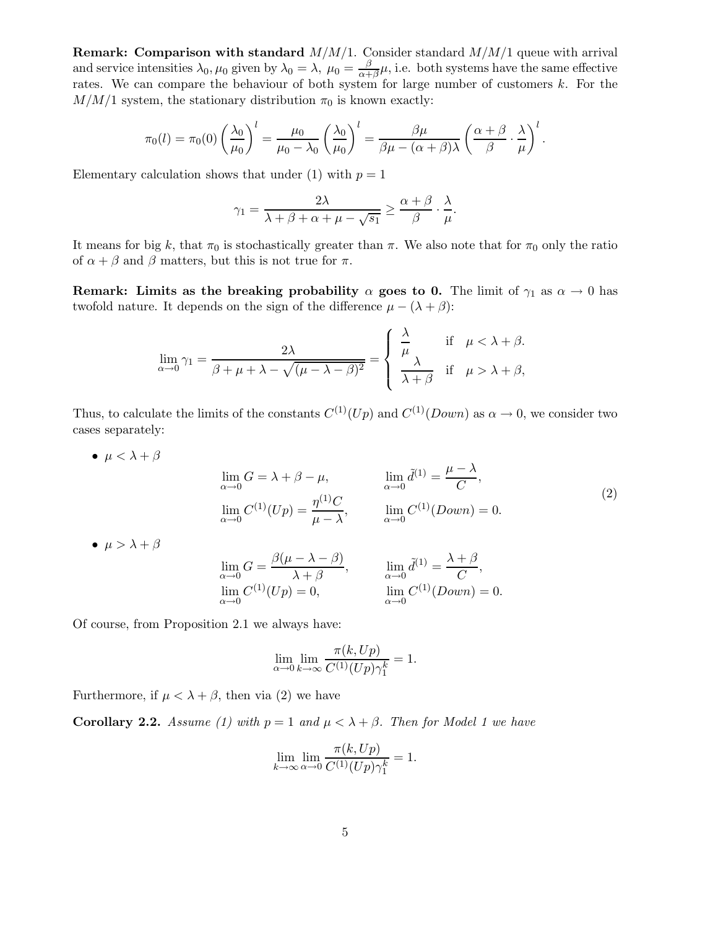**Remark: Comparison with standard**  $M/M/1$ . Consider standard  $M/M/1$  queue with arrival and service intensities  $\lambda_0, \mu_0$  given by  $\lambda_0 = \lambda$ ,  $\mu_0 = \frac{\beta}{\alpha + \beta}$  $\frac{\beta}{\alpha+\beta}\mu$ , i.e. both systems have the same effective rates. We can compare the behaviour of both system for large number of customers k. For the  $M/M/1$  system, the stationary distribution  $\pi_0$  is known exactly:

$$
\pi_0(l) = \pi_0(0) \left(\frac{\lambda_0}{\mu_0}\right)^l = \frac{\mu_0}{\mu_0 - \lambda_0} \left(\frac{\lambda_0}{\mu_0}\right)^l = \frac{\beta \mu}{\beta \mu - (\alpha + \beta)\lambda} \left(\frac{\alpha + \beta}{\beta} \cdot \frac{\lambda}{\mu}\right)^l.
$$

Elementary calculation shows that under (1) with  $p = 1$ 

$$
\gamma_1 = \frac{2\lambda}{\lambda + \beta + \alpha + \mu - \sqrt{s_1}} \ge \frac{\alpha + \beta}{\beta} \cdot \frac{\lambda}{\mu}.
$$

It means for big k, that  $\pi_0$  is stochastically greater than  $\pi$ . We also note that for  $\pi_0$  only the ratio of  $\alpha + \beta$  and  $\beta$  matters, but this is not true for  $\pi$ .

Remark: Limits as the breaking probability  $\alpha$  goes to 0. The limit of  $\gamma_1$  as  $\alpha \to 0$  has twofold nature. It depends on the sign of the difference  $\mu - (\lambda + \beta)$ :

$$
\lim_{\alpha \to 0} \gamma_1 = \frac{2\lambda}{\beta + \mu + \lambda - \sqrt{(\mu - \lambda - \beta)^2}} = \begin{cases} \frac{\lambda}{\mu} & \text{if } \mu < \lambda + \beta, \\ \frac{\lambda}{\lambda + \beta} & \text{if } \mu > \lambda + \beta, \end{cases}
$$

Thus, to calculate the limits of the constants  $C^{(1)}(Up)$  and  $C^{(1)}(Down)$  as  $\alpha \to 0$ , we consider two cases separately:

 $\bullet \ \mu < \lambda + \beta$ lim  $\lim_{\alpha \to 0} G = \lambda + \beta - \mu,$   $\lim_{\alpha \to 0}$  $\tilde{d}^{(1)} = \frac{\mu - \lambda}{\sigma}$  $\frac{\ldots}{C}$ , lim  $\alpha \rightarrow 0$  $C^{(1)}(Up) = \frac{\eta^{(1)}C}{\lambda}$  $\frac{n}{\mu - \lambda}$ ,  $\lim_{\alpha \to 0}$  $\alpha \rightarrow 0$  $C^{(1)}(Down) = 0.$ (2) •  $\mu > \lambda + \beta$ lim  $\alpha \rightarrow 0$  $G = \frac{\beta(\mu - \lambda - \beta)}{\lambda + \beta}$  $\frac{\lambda + \beta}{\lambda + \beta}$ ,  $\lim_{\alpha \to 0}$  $\alpha \rightarrow 0$  $\tilde{d}^{(1)} = \frac{\lambda + \beta}{\alpha}$  $\frac{1}{C}$ , lim  $C^{(1)}(Up) = 0,$  lim  $C^{(1)}(Down) = 0.$ 

Of course, from Proposition 2.1 we always have:

 $\alpha \rightarrow 0$ 

$$
\lim_{\alpha \to 0} \lim_{k \to \infty} \frac{\pi(k, Up)}{C^{(1)}(Up)\gamma_1^k} = 1.
$$

 $\alpha \rightarrow 0$ 

Furthermore, if  $\mu < \lambda + \beta$ , then via (2) we have

**Corollary 2.2.** *Assume (1) with*  $p = 1$  *and*  $\mu < \lambda + \beta$ *. Then for Model 1 we have* 

$$
\lim_{k \to \infty} \lim_{\alpha \to 0} \frac{\pi(k, Up)}{C^{(1)}(Up)\gamma_1^k} = 1.
$$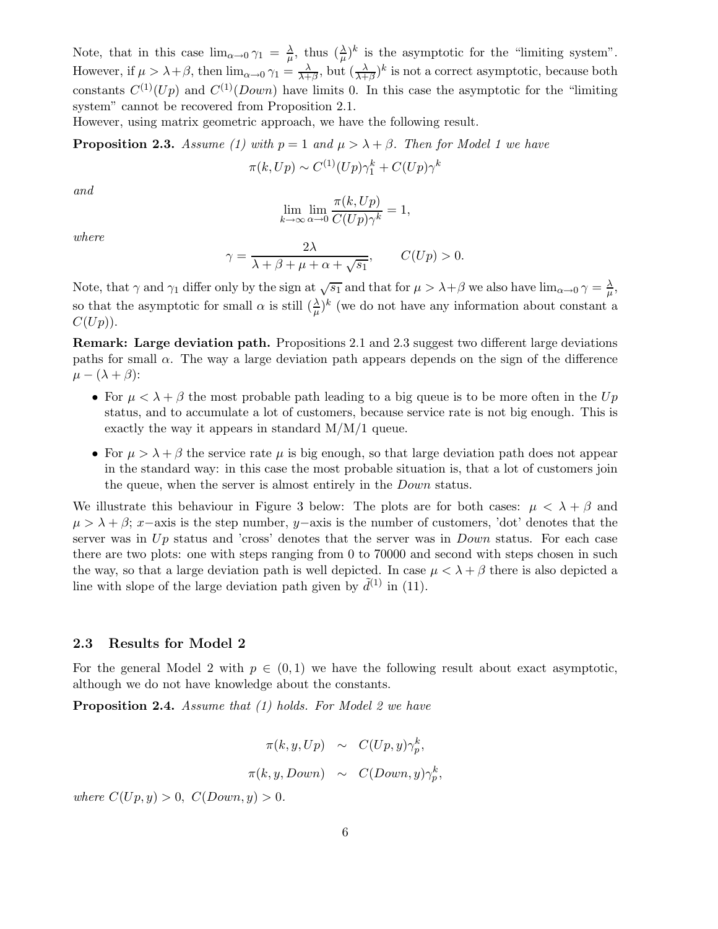Note, that in this case  $\lim_{\alpha\to 0} \gamma_1 = \frac{\lambda}{\mu}$  $\frac{\lambda}{\mu}$ , thus  $(\frac{\lambda}{\mu})^k$  is the asymptotic for the "limiting system". However, if  $\mu > \lambda + \beta$ , then  $\lim_{\alpha \to 0} \gamma_1 = \frac{\lambda}{\lambda + \beta}$  $\frac{\lambda}{\lambda+\beta}$ , but  $\left(\frac{\lambda}{\lambda+\beta}\right)^k$  is not a correct asymptotic, because both constants  $C^{(1)}(Up)$  and  $C^{(1)}(Down)$  have limits 0. In this case the asymptotic for the "limiting" system" cannot be recovered from Proposition 2.1.

However, using matrix geometric approach, we have the following result.

**Proposition 2.3.** *Assume (1) with*  $p = 1$  *and*  $\mu > \lambda + \beta$ *. Then for Model 1 we have* 

$$
\pi(k, Up) \sim C^{(1)}(Up)\gamma_1^k + C(Up)\gamma^k
$$

*and*

$$
\lim_{k \to \infty} \lim_{\alpha \to 0} \frac{\pi(k, Up)}{C(Up)\gamma^k} = 1,
$$

*where*

$$
\gamma = \frac{2\lambda}{\lambda + \beta + \mu + \alpha + \sqrt{s_1}}, \qquad C(Up) > 0.
$$

Note, that  $\gamma$  and  $\gamma_1$  differ only by the sign at  $\sqrt{s_1}$  and that for  $\mu > \lambda + \beta$  we also have  $\lim_{\alpha \to 0} \gamma = \frac{\lambda}{\mu}$  $\frac{\lambda}{\mu},$ so that the asymptotic for small  $\alpha$  is still  $(\frac{\lambda}{\mu})^k$  (we do not have any information about constant a  $C(U p)$ ).

Remark: Large deviation path. Propositions 2.1 and 2.3 suggest two different large deviations paths for small  $\alpha$ . The way a large deviation path appears depends on the sign of the difference  $\mu - (\lambda + \beta)$ :

- For  $\mu < \lambda + \beta$  the most probable path leading to a big queue is to be more often in the Up status, and to accumulate a lot of customers, because service rate is not big enough. This is exactly the way it appears in standard M/M/1 queue.
- For  $\mu > \lambda + \beta$  the service rate  $\mu$  is big enough, so that large deviation path does not appear in the standard way: in this case the most probable situation is, that a lot of customers join the queue, when the server is almost entirely in the Down status.

We illustrate this behaviour in Figure 3 below: The plots are for both cases:  $\mu < \lambda + \beta$  and  $\mu > \lambda + \beta$ ; x–axis is the step number, y–axis is the number of customers, 'dot' denotes that the server was in  $Up$  status and 'cross' denotes that the server was in  $Down$  status. For each case there are two plots: one with steps ranging from 0 to 70000 and second with steps chosen in such the way, so that a large deviation path is well depicted. In case  $\mu < \lambda + \beta$  there is also depicted a line with slope of the large deviation path given by  $\tilde{d}^{(1)}$  in (11).

#### 2.3 Results for Model 2

For the general Model 2 with  $p \in (0,1)$  we have the following result about exact asymptotic, although we do not have knowledge about the constants.

Proposition 2.4. *Assume that (1) holds. For Model 2 we have*

$$
\pi(k, y, Up) \sim C(Up, y)\gamma_p^k,
$$
  

$$
\pi(k, y, Down) \sim C(Down, y)\gamma_p^k,
$$

*where*  $C(Up, y) > 0$ ,  $C(Down, y) > 0$ .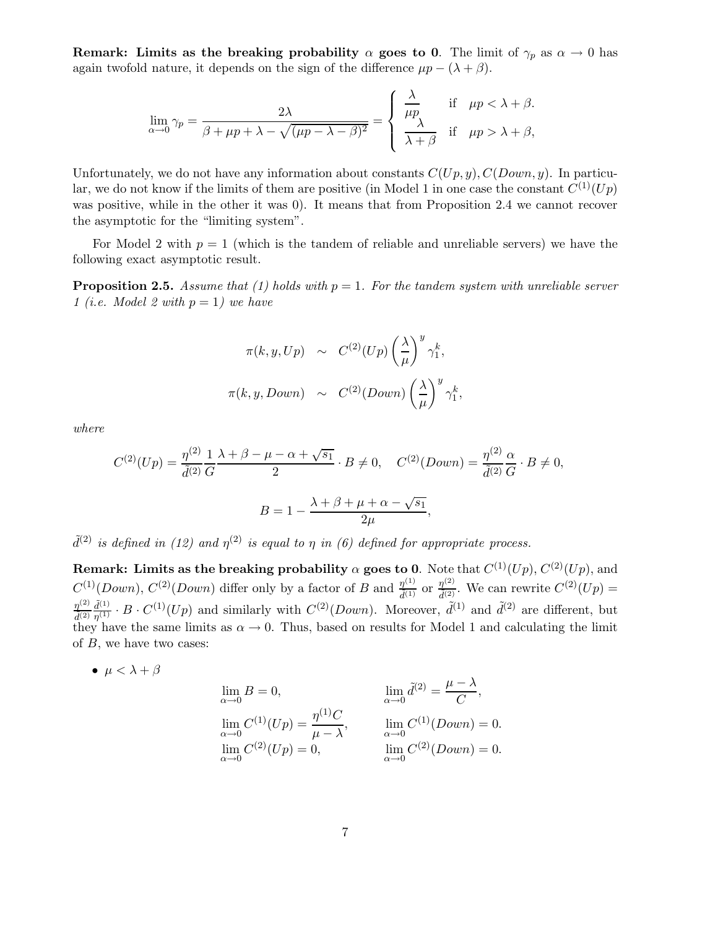Remark: Limits as the breaking probability  $\alpha$  goes to 0. The limit of  $\gamma_p$  as  $\alpha \to 0$  has again twofold nature, it depends on the sign of the difference  $\mu p - (\lambda + \beta)$ .

$$
\lim_{\alpha \to 0} \gamma_p = \frac{2\lambda}{\beta + \mu p + \lambda - \sqrt{(\mu p - \lambda - \beta)^2}} = \begin{cases} \frac{\lambda}{\mu p} & \text{if } \mu p < \lambda + \beta, \\ \frac{\lambda}{\lambda + \beta} & \text{if } \mu p > \lambda + \beta, \end{cases}
$$

Unfortunately, we do not have any information about constants  $C(U p, y)$ ,  $C(Down, y)$ . In particular, we do not know if the limits of them are positive (in Model 1 in one case the constant  $C^{(1)}(Up)$ was positive, while in the other it was 0). It means that from Proposition 2.4 we cannot recover the asymptotic for the "limiting system".

For Model 2 with  $p = 1$  (which is the tandem of reliable and unreliable servers) we have the following exact asymptotic result.

**Proposition 2.5.** Assume that (1) holds with  $p = 1$ . For the tandem system with unreliable server *1 (i.e. Model 2 with* p = 1*) we have*

$$
\pi(k, y, Up) \sim C^{(2)}(Up) \left(\frac{\lambda}{\mu}\right)^y \gamma_1^k,
$$
  

$$
\pi(k, y, Down) \sim C^{(2)}(Down) \left(\frac{\lambda}{\mu}\right)^y \gamma_1^k,
$$

*where*

$$
C^{(2)}(Up) = \frac{\eta^{(2)}}{\tilde{d}^{(2)}} \frac{1}{G} \frac{\lambda + \beta - \mu - \alpha + \sqrt{s_1}}{2} \cdot B \neq 0, \quad C^{(2)}(Down) = \frac{\eta^{(2)}}{\tilde{d}^{(2)}} \frac{\alpha}{G} \cdot B \neq 0,
$$

$$
B = 1 - \frac{\lambda + \beta + \mu + \alpha - \sqrt{s_1}}{2\mu},
$$

 $\tilde{d}^{(2)}$  *is defined in (12) and*  $\eta^{(2)}$  *is equal to*  $\eta$  *in (6) defined for appropriate process.* 

Remark: Limits as the breaking probability  $\alpha$  goes to 0. Note that  $C^{(1)}(Up),$   $C^{(2)}(Up),$  and  $C^{(1)}(Down)$ ,  $C^{(2)}(Down)$  differ only by a factor of B and  $\frac{\eta^{(1)}}{\tilde{d}^{(1)}}$  or  $\frac{\eta^{(2)}}{\tilde{d}^{(2)}}$ . We can rewrite  $C^{(2)}(Up)$  =  $\eta^{(2)}$  $\tilde{d}^{(2)}$  $\tilde{d}^{(1)}$  $\frac{\tilde{d}^{(1)}}{\eta^{(1)}} \cdot B \cdot C^{(1)}(Up)$  and similarly with  $C^{(2)}(Down)$ . Moreover,  $\tilde{d}^{(1)}$  and  $\tilde{d}^{(2)}$  are different, but they have the same limits as  $\alpha \to 0$ . Thus, based on results for Model 1 and calculating the limit of  $B$ , we have two cases:

•  $\mu < \lambda + \beta$ 

$$
\lim_{\alpha \to 0} B = 0, \qquad \lim_{\alpha \to 0} \tilde{d}^{(2)} = \frac{\mu - \lambda}{C},
$$
  
\n
$$
\lim_{\alpha \to 0} C^{(1)}(Up) = \frac{\eta^{(1)}C}{\mu - \lambda}, \qquad \lim_{\alpha \to 0} C^{(1)}(Down) = 0.
$$
  
\n
$$
\lim_{\alpha \to 0} C^{(2)}(Up) = 0, \qquad \lim_{\alpha \to 0} C^{(2)}(Down) = 0.
$$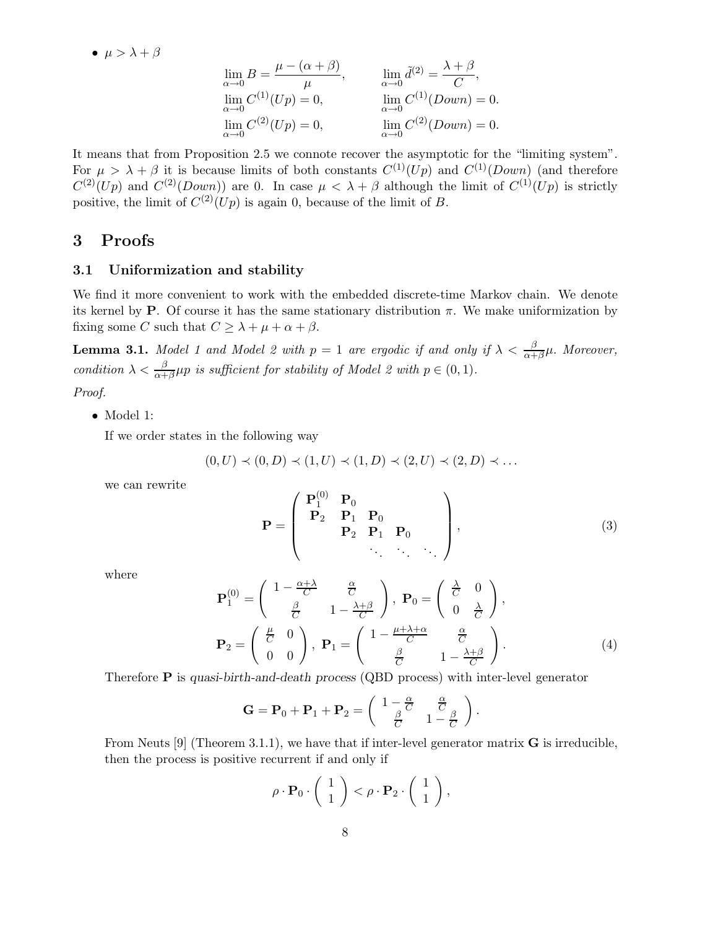•  $\mu > \lambda + \beta$ 

$$
\lim_{\alpha \to 0} B = \frac{\mu - (\alpha + \beta)}{\mu}, \qquad \lim_{\alpha \to 0} \tilde{d}^{(2)} = \frac{\lambda + \beta}{C},
$$
  
\n
$$
\lim_{\alpha \to 0} C^{(1)}(Up) = 0, \qquad \lim_{\alpha \to 0} C^{(1)}(Down) = 0.
$$
  
\n
$$
\lim_{\alpha \to 0} C^{(2)}(Up) = 0, \qquad \lim_{\alpha \to 0} C^{(2)}(Down) = 0.
$$

It means that from Proposition 2.5 we connote recover the asymptotic for the "limiting system". For  $\mu > \lambda + \beta$  it is because limits of both constants  $C^{(1)}(Up)$  and  $C^{(1)}(Down)$  (and therefore  $C^{(2)}(Up)$  and  $C^{(2)}(Down)$  are 0. In case  $\mu < \lambda + \beta$  although the limit of  $C^{(1)}(Up)$  is strictly positive, the limit of  $C^{(2)}(Up)$  is again 0, because of the limit of B.

# 3 Proofs

# 3.1 Uniformization and stability

We find it more convenient to work with the embedded discrete-time Markov chain. We denote its kernel by **P**. Of course it has the same stationary distribution  $\pi$ . We make uniformization by fixing some C such that  $C \geq \lambda + \mu + \alpha + \beta$ .

**Lemma 3.1.** *Model 1 and Model 2 with*  $p = 1$  *are ergodic if and only if*  $\lambda < \frac{\beta}{\alpha + \beta}\mu$ . *Moreover*, *condition*  $\lambda < \frac{\beta}{\alpha + \beta} \mu p$  *is sufficient for stability of Model 2 with*  $p \in (0, 1)$ *.* 

*Proof.*

• Model 1:

If we order states in the following way

$$
(0, U) \prec (0, D) \prec (1, U) \prec (1, D) \prec (2, U) \prec (2, D) \prec \dots
$$

we can rewrite

$$
\mathbf{P} = \left( \begin{array}{cccc} \mathbf{P}_1^{(0)} & \mathbf{P}_0 & & \\ \mathbf{P}_2 & \mathbf{P}_1 & \mathbf{P}_0 & \\ & \mathbf{P}_2 & \mathbf{P}_1 & \mathbf{P}_0 & \\ & & \ddots & \ddots & \ddots \end{array} \right), \tag{3}
$$

.

where

$$
\mathbf{P}_{1}^{(0)} = \begin{pmatrix} 1 - \frac{\alpha + \lambda}{C} & \frac{\alpha}{C} \\ \frac{\beta}{C} & 1 - \frac{\lambda + \beta}{C} \end{pmatrix}, \ \mathbf{P}_{0} = \begin{pmatrix} \frac{\lambda}{C} & 0 \\ 0 & \frac{\lambda}{C} \end{pmatrix},
$$

$$
\mathbf{P}_{2} = \begin{pmatrix} \frac{\mu}{C} & 0 \\ 0 & 0 \end{pmatrix}, \ \mathbf{P}_{1} = \begin{pmatrix} 1 - \frac{\mu + \lambda + \alpha}{C} & \frac{\alpha}{C} \\ \frac{\beta}{C} & 1 - \frac{\lambda + \beta}{C} \end{pmatrix}.
$$
(4)

Therefore P is quasi-birth-and-death process (QBD process) with inter-level generator

$$
\mathbf{G} = \mathbf{P}_0 + \mathbf{P}_1 + \mathbf{P}_2 = \begin{pmatrix} 1 - \frac{\alpha}{C} & \frac{\alpha}{C} \\ \frac{\beta}{C} & 1 - \frac{\beta}{C} \end{pmatrix}
$$

From Neuts  $[9]$  (Theorem 3.1.1), we have that if inter-level generator matrix **G** is irreducible, then the process is positive recurrent if and only if

$$
\rho \cdot \mathbf{P}_0 \cdot \left( \begin{array}{c} 1 \\ 1 \end{array} \right) < \rho \cdot \mathbf{P}_2 \cdot \left( \begin{array}{c} 1 \\ 1 \end{array} \right),
$$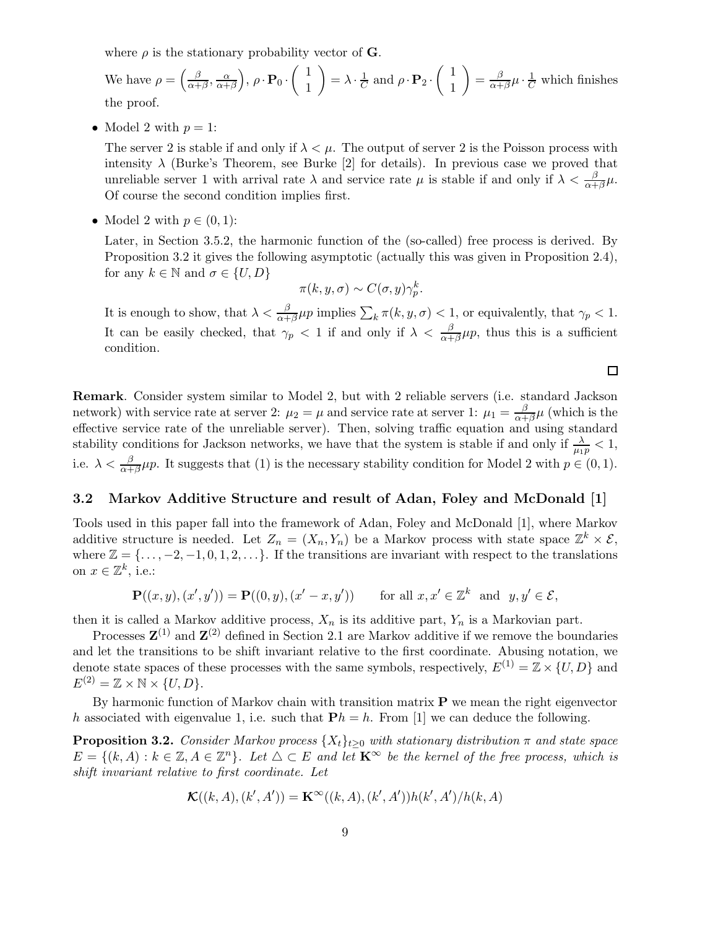where  $\rho$  is the stationary probability vector of **G**.

We have  $\rho = \left(\frac{\beta}{\alpha + \beta}\right)$  $\frac{\beta}{\alpha+\beta}, \frac{\alpha}{\alpha+}$  $\left(\frac{\alpha}{\alpha+\beta}\right),\, \rho\cdot {\bf P}_0\cdot \left(\begin{array}{c} 1 \ 1 \end{array}\right)$ 1  $\bigg) = \lambda \cdot \frac{1}{C}$  and  $\rho \cdot \mathbf{P}_2 \cdot \begin{pmatrix} 1 \\ 1 \end{pmatrix}$ 1  $= \frac{\beta}{\alpha^+}$  $\frac{\beta}{\alpha+\beta}\mu\cdot\frac{1}{C}$  which finishes the proof.

• Model 2 with  $p=1$ :

The server 2 is stable if and only if  $\lambda < \mu$ . The output of server 2 is the Poisson process with intensity  $\lambda$  (Burke's Theorem, see Burke [2] for details). In previous case we proved that unreliable server 1 with arrival rate  $\lambda$  and service rate  $\mu$  is stable if and only if  $\lambda < \frac{\beta}{\alpha + \beta} \mu$ . Of course the second condition implies first.

• Model 2 with  $p \in (0,1)$ :

Later, in Section 3.5.2, the harmonic function of the (so-called) free process is derived. By Proposition 3.2 it gives the following asymptotic (actually this was given in Proposition 2.4), for any  $k \in \mathbb{N}$  and  $\sigma \in \{U, D\}$ 

$$
\pi(k, y, \sigma) \sim C(\sigma, y)\gamma_p^k.
$$

It is enough to show, that  $\lambda < \frac{\beta}{\alpha + \beta} \mu p$  implies  $\sum_{k} \pi(k, y, \sigma) < 1$ , or equivalently, that  $\gamma_p < 1$ . It can be easily checked, that  $\gamma_p < 1$  if and only if  $\lambda < \frac{\beta}{\alpha + \beta} \mu_p$ , thus this is a sufficient condition.

口

Remark. Consider system similar to Model 2, but with 2 reliable servers (i.e. standard Jackson network) with service rate at server 2:  $\mu_2 = \mu$  and service rate at server 1:  $\mu_1 = \frac{\beta}{\alpha + \beta}$  $\frac{\rho}{\alpha+\beta}\mu$  (which is the effective service rate of the unreliable server). Then, solving traffic equation and using standard stability conditions for Jackson networks, we have that the system is stable if and only if  $\frac{\lambda}{\mu_{1p}} < 1$ , i.e.  $\lambda < \frac{\beta}{\alpha + \beta} \mu p$ . It suggests that (1) is the necessary stability condition for Model 2 with  $p \in (0, 1)$ .

#### 3.2 Markov Additive Structure and result of Adan, Foley and McDonald [1]

Tools used in this paper fall into the framework of Adan, Foley and McDonald [1], where Markov additive structure is needed. Let  $Z_n = (X_n, Y_n)$  be a Markov process with state space  $\mathbb{Z}^k \times \mathcal{E}$ , where  $\mathbb{Z} = \{\ldots, -2, -1, 0, 1, 2, \ldots\}$ . If the transitions are invariant with respect to the translations on  $x \in \mathbb{Z}^k$ , i.e.:

$$
\mathbf{P}((x,y),(x',y')) = \mathbf{P}((0,y),(x'-x,y')) \quad \text{for all } x,x' \in \mathbb{Z}^k \text{ and } y,y' \in \mathcal{E},
$$

then it is called a Markov additive process,  $X_n$  is its additive part,  $Y_n$  is a Markovian part.

Processes  $\mathbf{Z}^{(1)}$  and  $\mathbf{Z}^{(2)}$  defined in Section 2.1 are Markov additive if we remove the boundaries and let the transitions to be shift invariant relative to the first coordinate. Abusing notation, we denote state spaces of these processes with the same symbols, respectively,  $E^{(1)} = \mathbb{Z} \times \{U, D\}$  and  $E^{(2)} = \mathbb{Z} \times \mathbb{N} \times \{U, D\}.$ 

By harmonic function of Markov chain with transition matrix  $P$  we mean the right eigenvector h associated with eigenvalue 1, i.e. such that  $\mathbf{P}h = h$ . From [1] we can deduce the following.

**Proposition 3.2.** *Consider Markov process*  $\{X_t\}_{t>0}$  *with stationary distribution*  $\pi$  *and state space*  $E = \{(k, A) : k \in \mathbb{Z}, A \in \mathbb{Z}^n\}$ . Let  $\triangle \subset E$  and let  $\mathbf{K}^{\infty}$  be the kernel of the free process, which is *shift invariant relative to first coordinate. Let*

$$
\mathcal{K}((k,A),(k',A'))=\mathbf{K}^{\infty}((k,A),(k',A'))h(k',A')/h(k,A)
$$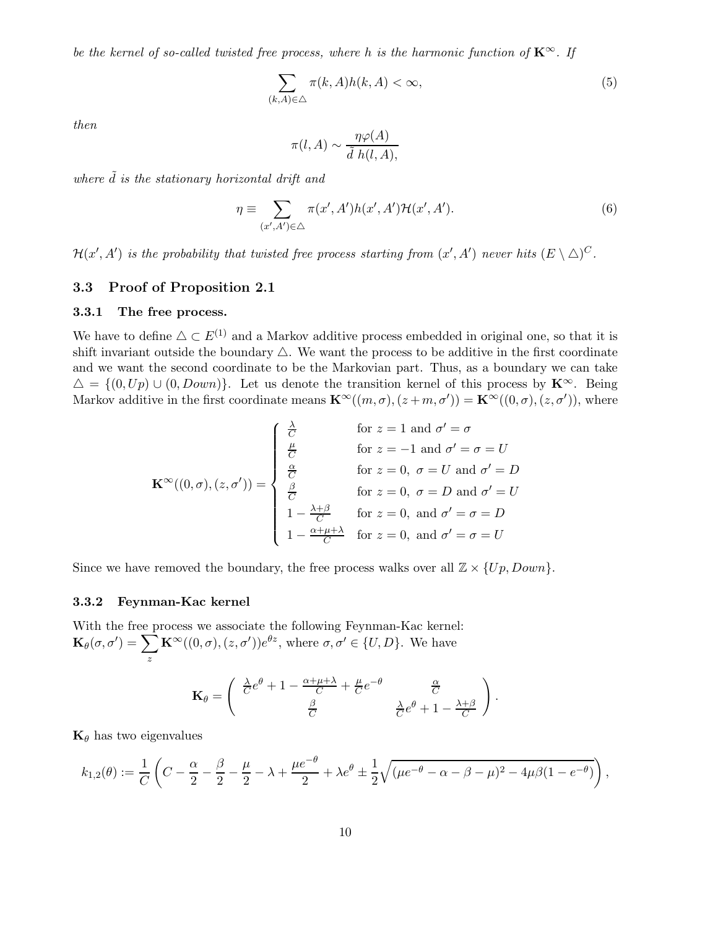*be the kernel of so-called twisted free process, where h is the harmonic function of*  $\mathbf{K}^{\infty}$ *. If* 

$$
\sum_{(k,A)\in\triangle} \pi(k,A)h(k,A) < \infty,\tag{5}
$$

*then*

$$
\pi(l, A) \sim \frac{\eta \varphi(A)}{\tilde{d} \; h(l, A)},
$$

where  $\tilde{d}$  *is the stationary horizontal drift and* 

$$
\eta \equiv \sum_{(x',A') \in \triangle} \pi(x',A')h(x',A')\mathcal{H}(x',A'). \tag{6}
$$

 $\mathcal{H}(x',A')$  is the probability that twisted free process starting from  $(x',A')$  never hits  $(E \setminus \triangle)^C$ .

# 3.3 Proof of Proposition 2.1

# 3.3.1 The free process.

We have to define  $\Delta \subset E^{(1)}$  and a Markov additive process embedded in original one, so that it is shift invariant outside the boundary  $\triangle$ . We want the process to be additive in the first coordinate and we want the second coordinate to be the Markovian part. Thus, as a boundary we can take  $\Delta = \{(0, Up) \cup (0, Down)\}.$  Let us denote the transition kernel of this process by  $\mathbf{K}^{\infty}$ . Being Markov additive in the first coordinate means  $\mathbf{K}^{\infty}((m,\sigma),(z+m,\sigma')) = \mathbf{K}^{\infty}((0,\sigma),(z,\sigma'))$ , where

$$
\mathbf{K}^{\infty}((0,\sigma),(z,\sigma')) = \begin{cases} \frac{\lambda}{C} & \text{for } z = 1 \text{ and } \sigma' = \sigma \\ \frac{\mu}{C} & \text{for } z = -1 \text{ and } \sigma' = \sigma = U \\ \frac{\alpha}{C} & \text{for } z = 0, \ \sigma = U \text{ and } \sigma' = D \\ \frac{\beta}{C} & \text{for } z = 0, \ \sigma = D \text{ and } \sigma' = U \\ 1 - \frac{\lambda + \beta}{C} & \text{for } z = 0, \text{ and } \sigma' = \sigma = D \\ 1 - \frac{\alpha + \mu + \lambda}{C} & \text{for } z = 0, \text{ and } \sigma' = \sigma = U \end{cases}
$$

Since we have removed the boundary, the free process walks over all  $\mathbb{Z} \times \{Up, Down\}$ .

# 3.3.2 Feynman-Kac kernel

With the free process we associate the following Feynman-Kac kernel:  $\mathbf{K}_{\theta}(\sigma, \sigma') = \sum$ z  $\mathbf{K}^{\infty}((0,\sigma),(z,\sigma'))e^{\theta z}$ , where  $\sigma,\sigma' \in \{U,D\}$ . We have

$$
\mathbf{K}_{\theta} = \begin{pmatrix} \frac{\lambda}{C} e^{\theta} + 1 - \frac{\alpha + \mu + \lambda}{C} + \frac{\mu}{C} e^{-\theta} & \frac{\alpha}{C} \\ \frac{\beta}{C} & \frac{\lambda}{C} e^{\theta} + 1 - \frac{\lambda + \beta}{C} \end{pmatrix}.
$$

 $\mathbf{K}_{\theta}$  has two eigenvalues

$$
k_{1,2}(\theta) := \frac{1}{C} \left( C - \frac{\alpha}{2} - \frac{\beta}{2} - \frac{\mu}{2} - \lambda + \frac{\mu e^{-\theta}}{2} + \lambda e^{\theta} \pm \frac{1}{2} \sqrt{(\mu e^{-\theta} - \alpha - \beta - \mu)^2 - 4\mu \beta (1 - e^{-\theta})} \right)
$$

,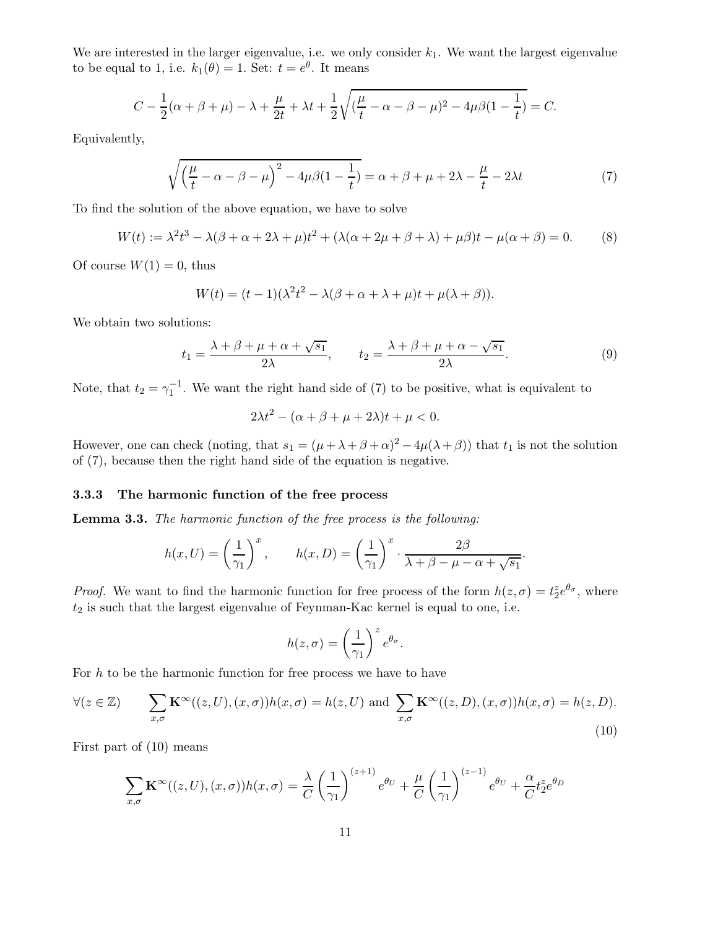We are interested in the larger eigenvalue, i.e. we only consider  $k_1$ . We want the largest eigenvalue to be equal to 1, i.e.  $k_1(\theta) = 1$ . Set:  $t = e^{\theta}$ . It means

$$
C - \frac{1}{2}(\alpha + \beta + \mu) - \lambda + \frac{\mu}{2t} + \lambda t + \frac{1}{2}\sqrt{(\frac{\mu}{t} - \alpha - \beta - \mu)^2 - 4\mu\beta(1 - \frac{1}{t})} = C.
$$

Equivalently,

$$
\sqrt{\left(\frac{\mu}{t} - \alpha - \beta - \mu\right)^2 - 4\mu\beta(1 - \frac{1}{t})} = \alpha + \beta + \mu + 2\lambda - \frac{\mu}{t} - 2\lambda t \tag{7}
$$

To find the solution of the above equation, we have to solve

$$
W(t) := \lambda^2 t^3 - \lambda(\beta + \alpha + 2\lambda + \mu)t^2 + (\lambda(\alpha + 2\mu + \beta + \lambda) + \mu\beta)t - \mu(\alpha + \beta) = 0.
$$
 (8)

Of course  $W(1) = 0$ , thus

$$
W(t) = (t-1)(\lambda^2 t^2 - \lambda(\beta + \alpha + \lambda + \mu)t + \mu(\lambda + \beta)).
$$

We obtain two solutions:

$$
t_1 = \frac{\lambda + \beta + \mu + \alpha + \sqrt{s_1}}{2\lambda}, \qquad t_2 = \frac{\lambda + \beta + \mu + \alpha - \sqrt{s_1}}{2\lambda}.
$$
 (9)

Note, that  $t_2 = \gamma_1^{-1}$ . We want the right hand side of (7) to be positive, what is equivalent to

$$
2\lambda t^2 - (\alpha + \beta + \mu + 2\lambda)t + \mu < 0.
$$

However, one can check (noting, that  $s_1 = (\mu + \lambda + \beta + \alpha)^2 - 4\mu(\lambda + \beta)$ ) that  $t_1$  is not the solution of (7), because then the right hand side of the equation is negative.

#### 3.3.3 The harmonic function of the free process

Lemma 3.3. *The harmonic function of the free process is the following:*

$$
h(x,U) = \left(\frac{1}{\gamma_1}\right)^x, \qquad h(x,D) = \left(\frac{1}{\gamma_1}\right)^x \cdot \frac{2\beta}{\lambda + \beta - \mu - \alpha + \sqrt{s_1}}.
$$

*Proof.* We want to find the harmonic function for free process of the form  $h(z, \sigma) = t_2^z e^{\theta_{\sigma}}$ , where  $t_2$  is such that the largest eigenvalue of Feynman-Kac kernel is equal to one, i.e.

$$
h(z,\sigma) = \left(\frac{1}{\gamma_1}\right)^z e^{\theta_{\sigma}}.
$$

For  $h$  to be the harmonic function for free process we have to have

$$
\forall (z \in \mathbb{Z}) \qquad \sum_{x,\sigma} \mathbf{K}^{\infty}((z,U),(x,\sigma))h(x,\sigma) = h(z,U) \text{ and } \sum_{x,\sigma} \mathbf{K}^{\infty}((z,D),(x,\sigma))h(x,\sigma) = h(z,D). \tag{10}
$$

First part of (10) means

$$
\sum_{x,\sigma} \mathbf{K}^{\infty}((z,U),(x,\sigma))h(x,\sigma) = \frac{\lambda}{C} \left(\frac{1}{\gamma_1}\right)^{(z+1)} e^{\theta_U} + \frac{\mu}{C} \left(\frac{1}{\gamma_1}\right)^{(z-1)} e^{\theta_U} + \frac{\alpha}{C} t_2^z e^{\theta_D}
$$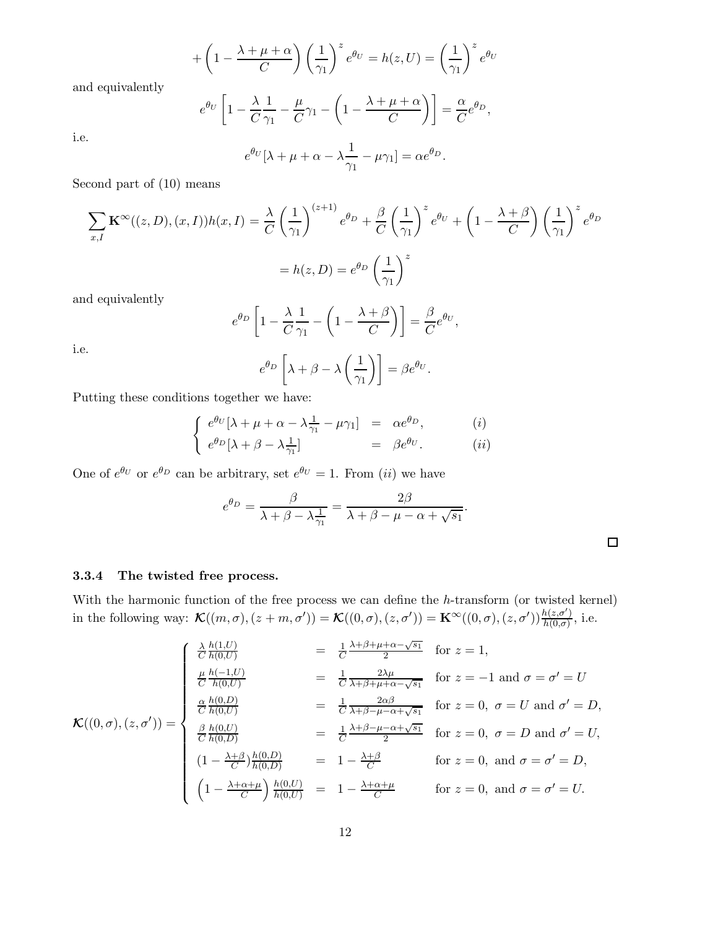$$
+\left(1-\frac{\lambda+\mu+\alpha}{C}\right)\left(\frac{1}{\gamma_1}\right)^z e^{\theta U} = h(z,U) = \left(\frac{1}{\gamma_1}\right)^z e^{\theta U}
$$

and equivalently

$$
e^{\theta U} \left[ 1 - \frac{\lambda}{C} \frac{1}{\gamma_1} - \frac{\mu}{C} \gamma_1 - \left( 1 - \frac{\lambda + \mu + \alpha}{C} \right) \right] = \frac{\alpha}{C} e^{\theta D},
$$

$$
e^{\theta_U}[\lambda + \mu + \alpha - \lambda \frac{1}{\gamma_1} - \mu \gamma_1] = \alpha e^{\theta_D}.
$$

Second part of (10) means

$$
\sum_{x,I} \mathbf{K}^{\infty}((z,D),(x,I))h(x,I) = \frac{\lambda}{C} \left(\frac{1}{\gamma_1}\right)^{(z+1)} e^{\theta D} + \frac{\beta}{C} \left(\frac{1}{\gamma_1}\right)^z e^{\theta U} + \left(1 - \frac{\lambda + \beta}{C}\right) \left(\frac{1}{\gamma_1}\right)^z e^{\theta D}
$$

$$
= h(z,D) = e^{\theta D} \left(\frac{1}{\gamma_1}\right)^z
$$

and equivalently

$$
e^{\theta_D} \left[ 1 - \frac{\lambda}{C} \frac{1}{\gamma_1} - \left( 1 - \frac{\lambda + \beta}{C} \right) \right] = \frac{\beta}{C} e^{\theta_U},
$$

$$
e^{\theta_D} \left[ \lambda + \beta - \lambda \left( \frac{1}{\gamma_1} \right) \right] = \beta e^{\theta_U}.
$$

i.e.

i.e.

Putting these conditions together we have:

$$
\begin{cases}\ne^{\theta_U}[\lambda + \mu + \alpha - \lambda \frac{1}{\gamma_1} - \mu \gamma_1] = \alpha e^{\theta_D}, & (i) \\
e^{\theta_D}[\lambda + \beta - \lambda \frac{1}{\gamma_1}] = \beta e^{\theta_U}. & (ii)\n\end{cases}
$$

One of  $e^{\theta U}$  or  $e^{\theta D}$  can be arbitrary, set  $e^{\theta U} = 1$ . From *(ii)* we have

$$
e^{\theta_D} = \frac{\beta}{\lambda + \beta - \lambda \frac{1}{\gamma_1}} = \frac{2\beta}{\lambda + \beta - \mu - \alpha + \sqrt{s_1}}.
$$

#### 3.3.4 The twisted free process.

With the harmonic function of the free process we can define the h-transform (or twisted kernel) in the following way:  $\mathcal{K}((m,\sigma),(z+m,\sigma')) = \mathcal{K}((0,\sigma),(z,\sigma')) = \mathbf{K}^{\infty}((0,\sigma),(z,\sigma'))\frac{h(z,\sigma')}{h(0,\sigma)}$  $\frac{h(z,\sigma)}{h(0,\sigma)}$ , i.e.

$$
\mathcal{K}((0,\sigma),(z,\sigma')) = \begin{cases}\n\frac{\lambda h(1,U)}{C h(0,U)} &= \frac{1}{C} \frac{\lambda + \beta + \mu + \alpha - \sqrt{s_1}}{2} \quad \text{for } z = 1, \\
\frac{\mu}{C} \frac{h(-1,U)}{h(0,U)} &= \frac{1}{C} \frac{2\lambda\mu}{\lambda + \beta + \mu + \alpha - \sqrt{s_1}} \quad \text{for } z = -1 \text{ and } \sigma = \sigma' = U \\
\frac{\alpha}{C} \frac{h(0,D)}{h(0,U)} &= \frac{1}{C} \frac{2\alpha\beta}{\lambda + \beta - \mu - \alpha + \sqrt{s_1}} \quad \text{for } z = 0, \ \sigma = U \text{ and } \sigma' = D, \\
\frac{\beta}{C} \frac{h(0,U)}{h(0,D)} &= \frac{1}{C} \frac{\lambda + \beta - \mu - \alpha + \sqrt{s_1}}{2} \quad \text{for } z = 0, \ \sigma = D \text{ and } \sigma' = U, \\
(1 - \frac{\lambda + \beta}{C}) \frac{h(0,D)}{h(0,D)} &= 1 - \frac{\lambda + \beta}{C} \quad \text{for } z = 0, \text{ and } \sigma = \sigma' = D, \\
(1 - \frac{\lambda + \alpha + \mu}{C}) \frac{h(0,U)}{h(0,U)} &= 1 - \frac{\lambda + \alpha + \mu}{C} \quad \text{for } z = 0, \text{ and } \sigma = \sigma' = U.\n\end{cases}
$$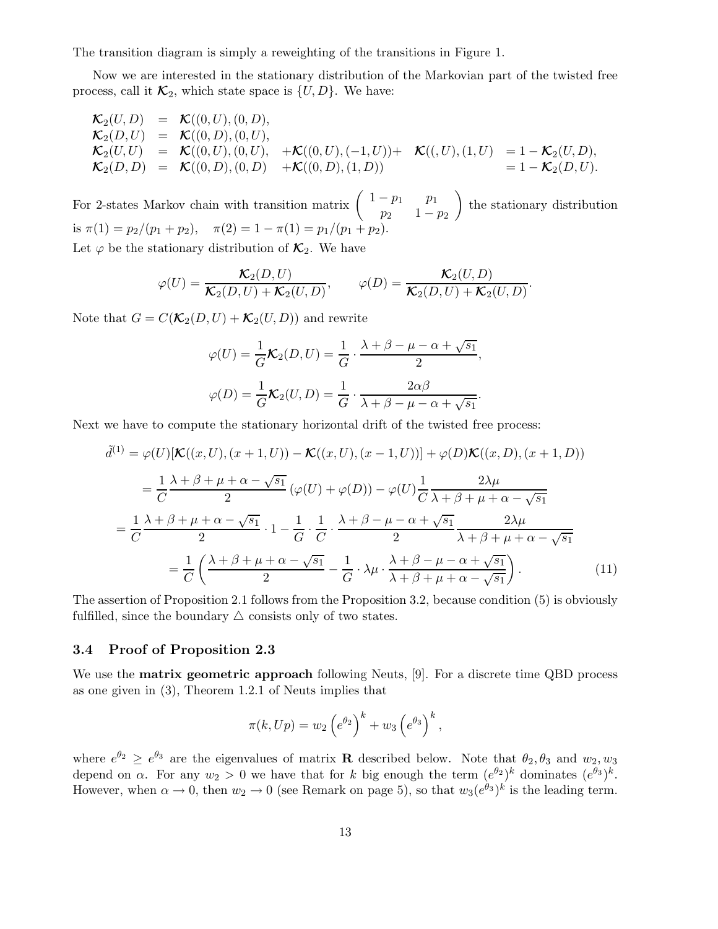The transition diagram is simply a reweighting of the transitions in Figure 1.

Now we are interested in the stationary distribution of the Markovian part of the twisted free process, call it  $\mathcal{K}_2$ , which state space is  $\{U, D\}$ . We have:

$$
\begin{array}{rcll} \mathcal{K}_2(U,D) & = & \mathcal{K}((0,U),(0,D),\\ \mathcal{K}_2(D,U) & = & \mathcal{K}((0,D),(0,U),\\ \mathcal{K}_2(U,U) & = & \mathcal{K}((0,U),(0,U),\\ \mathcal{K}_2(U,U) & = & \mathcal{K}((0,U),(0,U),\\ \mathcal{K}_2(D,D) & = & \mathcal{K}((0,D),(0,D) \quad +\mathcal{K}((0,D),(1,D)) \end{array} \quad \begin{array}{rcl} \mathcal{K}((,U),(1,U) & = & 1-\mathcal{K}_2(U,D),\\ \mathcal{K}((,U),(1,U)) & = & 1-\mathcal{K}_2(U,D). \end{array}
$$

For 2-states Markov chain with transition matrix  $\begin{pmatrix} 1-p_1 & p_1 \\ p_1 & 1 \end{pmatrix}$  $p_2$  1 –  $p_2$ ) the stationary distribution is  $\pi(1) = p_2/(p_1 + p_2), \quad \pi(2) = 1 - \pi(1) = p_1/(p_1 + p_2).$ Let  $\varphi$  be the stationary distribution of  $\mathcal{K}_2$ . We have

$$
\varphi(U) = \frac{\mathcal{K}_2(D, U)}{\mathcal{K}_2(D, U) + \mathcal{K}_2(U, D)}, \qquad \varphi(D) = \frac{\mathcal{K}_2(U, D)}{\mathcal{K}_2(D, U) + \mathcal{K}_2(U, D)}.
$$

Note that  $G = C(\mathcal{K}_2(D, U) + \mathcal{K}_2(U, D))$  and rewrite

$$
\varphi(U) = \frac{1}{G}\mathcal{K}_2(D, U) = \frac{1}{G} \cdot \frac{\lambda + \beta - \mu - \alpha + \sqrt{s_1}}{2},
$$

$$
\varphi(D) = \frac{1}{G}\mathcal{K}_2(U, D) = \frac{1}{G} \cdot \frac{2\alpha\beta}{\lambda + \beta - \mu - \alpha + \sqrt{s_1}}.
$$

Next we have to compute the stationary horizontal drift of the twisted free process:

$$
\tilde{d}^{(1)} = \varphi(U)[\mathcal{K}((x, U), (x + 1, U)) - \mathcal{K}((x, U), (x - 1, U))] + \varphi(D)\mathcal{K}((x, D), (x + 1, D))
$$
\n
$$
= \frac{1}{C} \frac{\lambda + \beta + \mu + \alpha - \sqrt{s_1}}{2} (\varphi(U) + \varphi(D)) - \varphi(U) \frac{1}{C} \frac{2\lambda\mu}{\lambda + \beta + \mu + \alpha - \sqrt{s_1}}
$$
\n
$$
= \frac{1}{C} \frac{\lambda + \beta + \mu + \alpha - \sqrt{s_1}}{2} \cdot 1 - \frac{1}{G} \cdot \frac{1}{C} \cdot \frac{\lambda + \beta - \mu - \alpha + \sqrt{s_1}}{2} \frac{2\lambda\mu}{\lambda + \beta + \mu + \alpha - \sqrt{s_1}}
$$
\n
$$
= \frac{1}{C} \left( \frac{\lambda + \beta + \mu + \alpha - \sqrt{s_1}}{2} - \frac{1}{G} \cdot \lambda\mu \cdot \frac{\lambda + \beta - \mu - \alpha + \sqrt{s_1}}{\lambda + \beta + \mu + \alpha - \sqrt{s_1}} \right). \tag{11}
$$

The assertion of Proposition 2.1 follows from the Proposition 3.2, because condition (5) is obviously fulfilled, since the boundary  $\triangle$  consists only of two states.

#### 3.4 Proof of Proposition 2.3

We use the matrix geometric approach following Neuts, [9]. For a discrete time QBD process as one given in (3), Theorem 1.2.1 of Neuts implies that

$$
\pi(k, Up) = w_2 \left(e^{\theta_2}\right)^k + w_3 \left(e^{\theta_3}\right)^k,
$$

where  $e^{\theta_2} \ge e^{\theta_3}$  are the eigenvalues of matrix **R** described below. Note that  $\theta_2, \theta_3$  and  $w_2, w_3$ depend on  $\alpha$ . For any  $w_2 > 0$  we have that for k big enough the term  $(e^{\theta_2})^k$  dominates  $(e^{\theta_3})^k$ . However, when  $\alpha \to 0$ , then  $w_2 \to 0$  (see Remark on page 5), so that  $w_3(e^{\theta_3})^k$  is the leading term.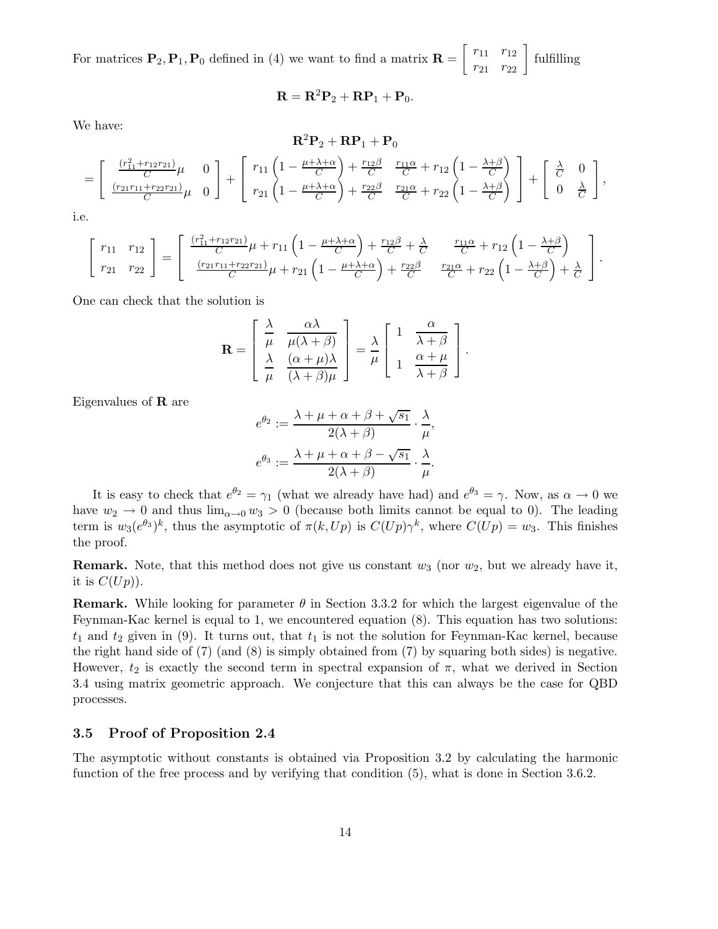For matrices  $\mathbf{P}_2, \mathbf{P}_1, \mathbf{P}_0$  defined in (4) we want to find a matrix  $\mathbf{R} = \begin{bmatrix} r_{11} & r_{12} \\ r_{21} & r_{22} \end{bmatrix}$  fulfilling

$$
\mathbf{R} = \mathbf{R}^2 \mathbf{P}_2 + \mathbf{R} \mathbf{P}_1 + \mathbf{P}_0.
$$

We have:

$$
\mathbf{R}^2 \mathbf{P}_2 + \mathbf{R} \mathbf{P}_1 + \mathbf{P}_0
$$
\n
$$
= \begin{bmatrix}\n\frac{(r_{11}^2 + r_{12}r_{21})}{C} \mu & 0 \\
\frac{(r_{21}r_{11} + r_{22}r_{21})}{C} \mu & 0\n\end{bmatrix} + \begin{bmatrix}\nr_{11}\left(1 - \frac{\mu + \lambda + \alpha}{C}\right) + \frac{r_{12}\beta}{C} & \frac{r_{11}\alpha}{C} + r_{12}\left(1 - \frac{\lambda + \beta}{C}\right) \\
r_{21}\left(1 - \frac{\mu + \lambda + \alpha}{C}\right) + \frac{r_{22}\beta}{C} & \frac{r_{21}\alpha}{C} + r_{22}\left(1 - \frac{\lambda + \beta}{C}\right)\n\end{bmatrix} + \begin{bmatrix}\n\frac{\lambda}{C} & 0 \\
0 & \frac{\lambda}{C}\n\end{bmatrix},
$$

i.e.

$$
\begin{bmatrix}\nr_{11} & r_{12} \\
r_{21} & r_{22}\n\end{bmatrix} = \begin{bmatrix}\n\frac{(r_{11}^2 + r_{12}r_{21})}{C}\mu + r_{11}\left(1 - \frac{\mu + \lambda + \alpha}{C}\right) + \frac{r_{12}\beta}{C} + \frac{\lambda}{C} & \frac{r_{11}\alpha}{C} + r_{12}\left(1 - \frac{\lambda + \beta}{C}\right) \\
\frac{(r_{21}r_{11} + r_{22}r_{21})}{C}\mu + r_{21}\left(1 - \frac{\mu + \lambda + \alpha}{C}\right) + \frac{r_{22}\beta}{C} & \frac{r_{21}\alpha}{C} + r_{22}\left(1 - \frac{\lambda + \beta}{C}\right) + \frac{\lambda}{C}\n\end{bmatrix}.
$$

One can check that the solution is

$$
\mathbf{R} = \begin{bmatrix} \frac{\lambda}{\mu} & \frac{\alpha \lambda}{\mu(\lambda + \beta)} \\ \frac{\lambda}{\mu} & \frac{(\alpha + \mu)\lambda}{(\lambda + \beta)\mu} \end{bmatrix} = \frac{\lambda}{\mu} \begin{bmatrix} 1 & \frac{\alpha}{\lambda + \beta} \\ 1 & \frac{\alpha + \mu}{\lambda + \beta} \end{bmatrix}.
$$

Eigenvalues of R are

$$
e^{\theta_2} := \frac{\lambda + \mu + \alpha + \beta + \sqrt{s_1}}{2(\lambda + \beta)} \cdot \frac{\lambda}{\mu},
$$
  

$$
e^{\theta_3} := \frac{\lambda + \mu + \alpha + \beta - \sqrt{s_1}}{2(\lambda + \beta)} \cdot \frac{\lambda}{\mu}.
$$

It is easy to check that  $e^{\theta_2} = \gamma_1$  (what we already have had) and  $e^{\theta_3} = \gamma$ . Now, as  $\alpha \to 0$  we have  $w_2 \to 0$  and thus  $\lim_{\alpha \to 0} w_3 > 0$  (because both limits cannot be equal to 0). The leading term is  $w_3(e^{\theta_3})^k$ , thus the asymptotic of  $\pi(k, Up)$  is  $C(Up)\gamma^k$ , where  $C(Up) = w_3$ . This finishes the proof.

**Remark.** Note, that this method does not give us constant  $w_3$  (nor  $w_2$ , but we already have it, it is  $C(Up)$ ).

**Remark.** While looking for parameter  $\theta$  in Section 3.3.2 for which the largest eigenvalue of the Feynman-Kac kernel is equal to 1, we encountered equation (8). This equation has two solutions:  $t_1$  and  $t_2$  given in (9). It turns out, that  $t_1$  is not the solution for Feynman-Kac kernel, because the right hand side of (7) (and (8) is simply obtained from (7) by squaring both sides) is negative. However,  $t_2$  is exactly the second term in spectral expansion of  $\pi$ , what we derived in Section 3.4 using matrix geometric approach. We conjecture that this can always be the case for QBD processes.

# 3.5 Proof of Proposition 2.4

The asymptotic without constants is obtained via Proposition 3.2 by calculating the harmonic function of the free process and by verifying that condition (5), what is done in Section 3.6.2.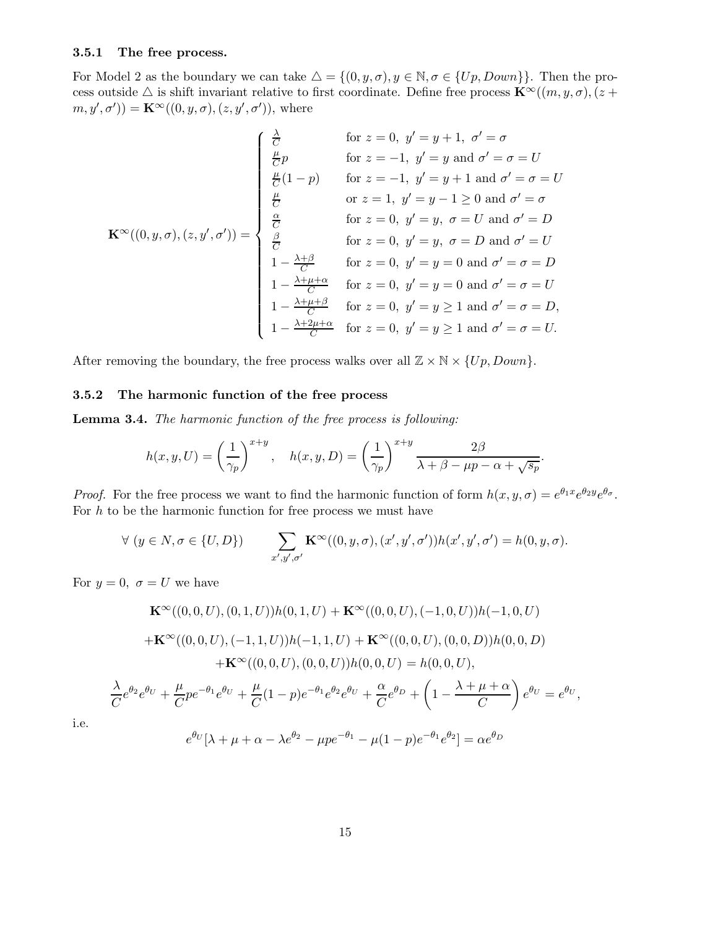# 3.5.1 The free process.

For Model 2 as the boundary we can take  $\Delta = \{(0, y, \sigma), y \in \mathbb{N}, \sigma \in \{Up, Down\}\}.$  Then the process outside  $\triangle$  is shift invariant relative to first coordinate. Define free process  $\mathbf{K}^{\infty}((m, y, \sigma), (z +$  $(m, y', \sigma')) = \mathbf{K}^{\infty}((0, y, \sigma), (z, y', \sigma'))$ , where

$$
\mathbf{K}^{\infty}((0, y, \sigma), (z, y', \sigma')) = \begin{cases}\n\frac{\lambda}{C} & \text{for } z = 0, y' = y + 1, \ \sigma' = \sigma \\
\frac{\mu}{C}(1-p) & \text{for } z = -1, y' = y + 1 \text{ and } \sigma' = \sigma = U \\
\frac{\mu}{C} & \text{or } z = 1, y' = y + 1 \text{ and } \sigma' = \sigma = U \\
\frac{\mu}{C} & \text{for } z = 0, y' = y, \ \sigma = U \text{ and } \sigma' = D \\
\frac{\alpha}{C} & \text{for } z = 0, y' = y, \ \sigma = D \text{ and } \sigma' = D \\
1 - \frac{\lambda + \beta}{C} & \text{for } z = 0, y' = y = 0 \text{ and } \sigma' = \sigma = D \\
1 - \frac{\lambda + \mu + \alpha}{C} & \text{for } z = 0, y' = y = 0 \text{ and } \sigma' = \sigma = U \\
1 - \frac{\lambda + \mu + \beta}{C} & \text{for } z = 0, y' = y \ge 1 \text{ and } \sigma' = \sigma = D, \\
1 - \frac{\lambda + 2\mu + \alpha}{C} & \text{for } z = 0, y' = y \ge 1 \text{ and } \sigma' = \sigma = D, \\
1 - \frac{\lambda + 2\mu + \alpha}{C} & \text{for } z = 0, y' = y \ge 1 \text{ and } \sigma' = \sigma = U.\n\end{cases}
$$

After removing the boundary, the free process walks over all  $\mathbb{Z} \times \mathbb{N} \times \{Up, Down\}$ .

# 3.5.2 The harmonic function of the free process

Lemma 3.4. *The harmonic function of the free process is following:*

$$
h(x, y, U) = \left(\frac{1}{\gamma_p}\right)^{x+y}, \quad h(x, y, D) = \left(\frac{1}{\gamma_p}\right)^{x+y} \frac{2\beta}{\lambda + \beta - \mu p - \alpha + \sqrt{s_p}}.
$$

*Proof.* For the free process we want to find the harmonic function of form  $h(x, y, \sigma) = e^{\theta_1 x} e^{\theta_2 y} e^{\theta \sigma}$ . For  $h$  to be the harmonic function for free process we must have

$$
\forall (y \in N, \sigma \in \{U, D\}) \qquad \sum_{x', y', \sigma'} \mathbf{K}^{\infty}((0, y, \sigma), (x', y', \sigma')) h(x', y', \sigma') = h(0, y, \sigma).
$$

For  $y = 0$ ,  $\sigma = U$  we have

$$
\mathbf{K}^{\infty}((0,0,U),(0,1,U))h(0,1,U) + \mathbf{K}^{\infty}((0,0,U),(-1,0,U))h(-1,0,U)
$$
  
+
$$
\mathbf{K}^{\infty}((0,0,U),(-1,1,U))h(-1,1,U) + \mathbf{K}^{\infty}((0,0,U),(0,0,D))h(0,0,D)
$$
  
+
$$
\mathbf{K}^{\infty}((0,0,U),(0,0,U))h(0,0,U) = h(0,0,U),
$$
  

$$
\frac{\lambda}{C}e^{\theta_2}e^{\theta_U} + \frac{\mu}{C}pe^{-\theta_1}e^{\theta_U} + \frac{\mu}{C}(1-p)e^{-\theta_1}e^{\theta_2}e^{\theta_U} + \frac{\alpha}{C}e^{\theta_D} + \left(1 - \frac{\lambda + \mu + \alpha}{C}\right)e^{\theta_U} = e^{\theta_U},
$$
  

$$
e^{\theta_U}[\lambda + \mu + \alpha - \lambda e^{\theta_2} - \mu pe^{-\theta_1} - \mu(1-p)e^{-\theta_1}e^{\theta_2}] = \alpha e^{\theta_D}
$$

i.e.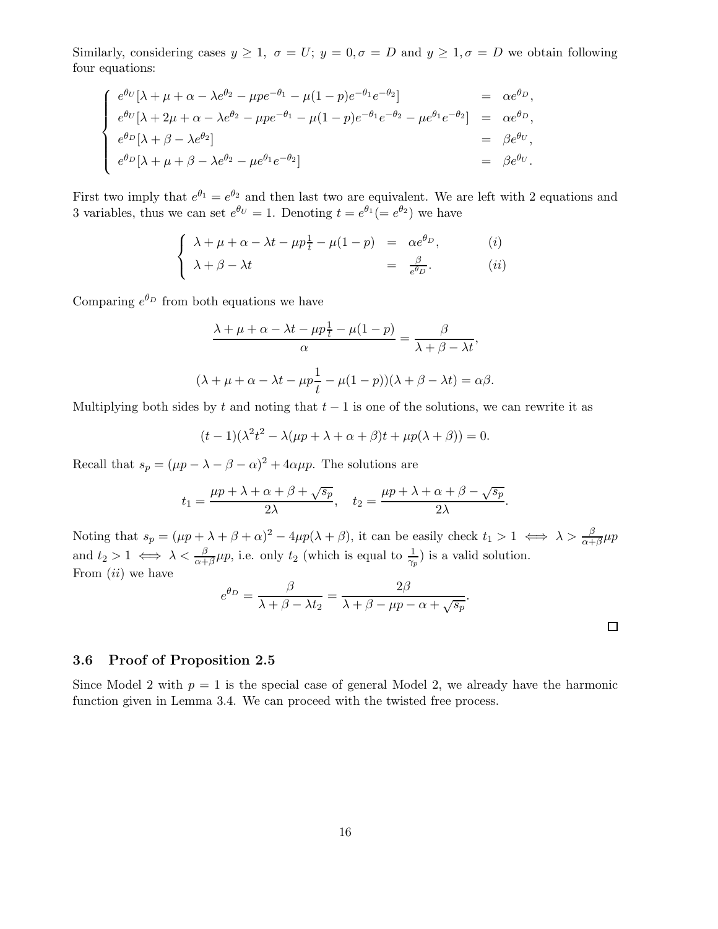Similarly, considering cases  $y \geq 1$ ,  $\sigma = U$ ;  $y = 0$ ,  $\sigma = D$  and  $y \geq 1$ ,  $\sigma = D$  we obtain following four equations:

$$
\begin{cases}\ne^{\theta_U}[\lambda + \mu + \alpha - \lambda e^{\theta_2} - \mu p e^{-\theta_1} - \mu (1 - p) e^{-\theta_1} e^{-\theta_2}] &= \alpha e^{\theta_D}, \\
e^{\theta_U}[\lambda + 2\mu + \alpha - \lambda e^{\theta_2} - \mu p e^{-\theta_1} - \mu (1 - p) e^{-\theta_1} e^{-\theta_2} - \mu e^{\theta_1} e^{-\theta_2}] &= \alpha e^{\theta_D}, \\
e^{\theta_D}[\lambda + \beta - \lambda e^{\theta_2}] &= \beta e^{\theta_U}, \\
e^{\theta_D}[\lambda + \mu + \beta - \lambda e^{\theta_2} - \mu e^{\theta_1} e^{-\theta_2}] &= \beta e^{\theta_U}.\n\end{cases}
$$

First two imply that  $e^{\theta_1} = e^{\theta_2}$  and then last two are equivalent. We are left with 2 equations and 3 variables, thus we can set  $e^{\theta U} = 1$ . Denoting  $t = e^{\theta_1} (= e^{\theta_2})$  we have

$$
\begin{cases}\n\lambda + \mu + \alpha - \lambda t - \mu p \frac{1}{t} - \mu (1 - p) &= \alpha e^{\theta_D}, \\
\lambda + \beta - \lambda t &= \frac{\beta}{e^{\theta_D}}.\n\end{cases} \tag{i}
$$

Comparing  $e^{\theta_D}$  from both equations we have

$$
\frac{\lambda + \mu + \alpha - \lambda t - \mu p \frac{1}{t} - \mu (1 - p)}{\alpha} = \frac{\beta}{\lambda + \beta - \lambda t},
$$

$$
(\lambda + \mu + \alpha - \lambda t - \mu p \frac{1}{t} - \mu (1 - p))(\lambda + \beta - \lambda t) = \alpha \beta.
$$

Multiplying both sides by t and noting that  $t - 1$  is one of the solutions, we can rewrite it as

$$
(t-1)(\lambda^2 t^2 - \lambda(\mu p + \lambda + \alpha + \beta)t + \mu p(\lambda + \beta)) = 0.
$$

Recall that  $s_p = (\mu p - \lambda - \beta - \alpha)^2 + 4\alpha \mu p$ . The solutions are

$$
t_1 = \frac{\mu p + \lambda + \alpha + \beta + \sqrt{s_p}}{2\lambda}, \quad t_2 = \frac{\mu p + \lambda + \alpha + \beta - \sqrt{s_p}}{2\lambda}.
$$

Noting that  $s_p = (\mu p + \lambda + \beta + \alpha)^2 - 4\mu p(\lambda + \beta)$ , it can be easily check  $t_1 > 1 \iff \lambda > \frac{\beta}{\alpha + \beta}\mu p$ and  $t_2 > 1 \iff \lambda < \frac{\beta}{\alpha + \beta} \mu p$ , i.e. only  $t_2$  (which is equal to  $\frac{1}{\gamma_p}$ ) is a valid solution. From  $(ii)$  we have

$$
e^{\theta_D} = \frac{\beta}{\lambda + \beta - \lambda t_2} = \frac{2\beta}{\lambda + \beta - \mu p - \alpha + \sqrt{s_p}}.
$$

 $\Box$ 

# 3.6 Proof of Proposition 2.5

Since Model 2 with  $p = 1$  is the special case of general Model 2, we already have the harmonic function given in Lemma 3.4. We can proceed with the twisted free process.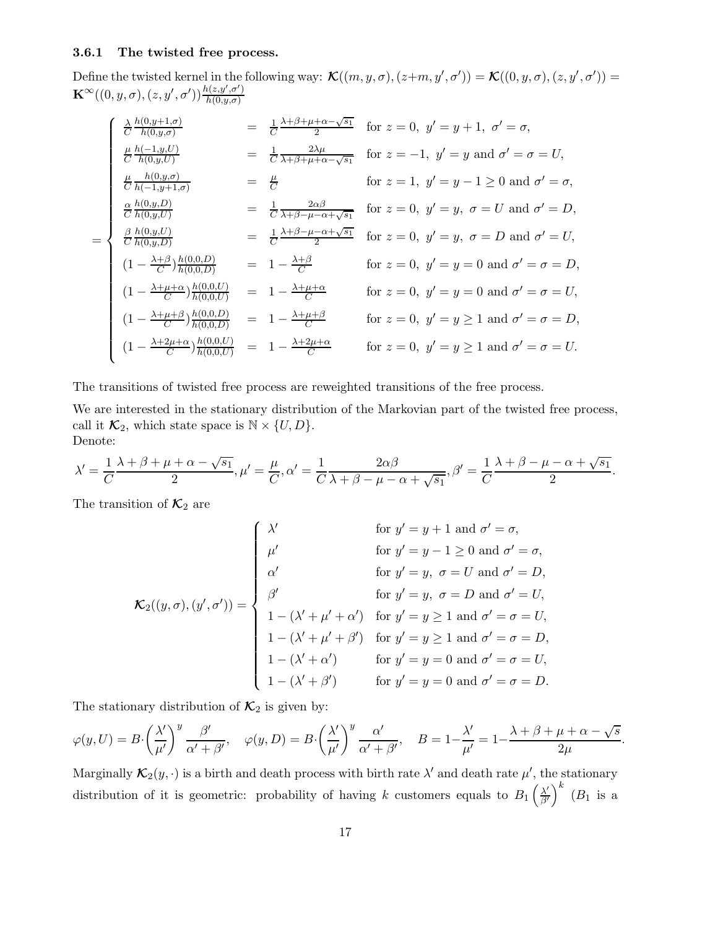### 3.6.1 The twisted free process.

Define the twisted kernel in the following way:  $\mathcal{K}((m, y, \sigma), (z+m, y', \sigma')) = \mathcal{K}((0, y, \sigma), (z, y', \sigma')) =$  $\mathbf{K}^{\infty}((0,y,\sigma),(z,y',\sigma'))\frac{h(z,y',\sigma')}{h(0,y,\sigma')}$  $h(0,y,\sigma)$ 

$$
\begin{cases}\n\frac{\lambda}{C} \frac{h(0,y+1,\sigma)}{h(0,y,\sigma)} & = \frac{1}{C} \frac{\lambda + \beta + \mu + \alpha - \sqrt{s_1}}{2} \quad \text{for } z = 0, \ y' = y + 1, \ \sigma' = \sigma, \\
\frac{\mu}{C} \frac{h(-1,y,U)}{h(0,y,U)} & = \frac{1}{C} \frac{2\lambda\mu}{\lambda + \beta + \mu + \alpha - \sqrt{s_1}} \quad \text{for } z = -1, \ y' = y \text{ and } \sigma' = \sigma = U, \\
\frac{\mu}{C} \frac{h(0,y,\sigma)}{h(-1,y+1,\sigma)} & = \frac{\mu}{C} \quad \text{for } z = 1, \ y' = y - 1 \ge 0 \text{ and } \sigma' = \sigma, \\
\frac{\alpha}{C} \frac{h(0,y,D)}{h(0,y,U)} & = \frac{1}{C} \frac{2\alpha\beta}{\lambda + \beta - \mu - \alpha + \sqrt{s_1}} \quad \text{for } z = 0, \ y' = y, \ \sigma = U \text{ and } \sigma' = D, \\
(1 - \frac{\lambda + \beta}{C} \frac{h(0,0,D)}{h(0,0,D)} & = 1 - \frac{\lambda + \beta}{C} \quad \text{for } z = 0, \ y' = y = 0 \text{ and } \sigma' = \sigma = D, \\
(1 - \frac{\lambda + \mu + \alpha}{C} \frac{h(0,0,D)}{h(0,0,D)} & = 1 - \frac{\lambda + \mu + \alpha}{C} \quad \text{for } z = 0, \ y' = y = 0 \text{ and } \sigma' = \sigma = D, \\
(1 - \frac{\lambda + \mu + \beta}{C} \frac{h(0,0,D)}{h(0,0,D)} & = 1 - \frac{\lambda + \mu + \beta}{C} \quad \text{for } z = 0, \ y' = y = 0 \text{ and } \sigma' = \sigma = D, \\
(1 - \frac{\lambda + \mu + \beta}{C} \frac{h(0,0,D)}{h(0,0,D)} & = 1 - \frac{\lambda + \mu + \beta}{C} \quad \text{for } z = 0, \ y' = y \ge 1 \text{ and } \sigma' = \sigma = D, \\
(1 - \frac{\lambda + 2\mu + \alpha}{C} \frac{h(0,0,D)}{h(0,0,D)} & = 1 - \frac{\lambda + 2\mu + \alpha}{C} \quad \text{for } z
$$

The transitions of twisted free process are reweighted transitions of the free process.

We are interested in the stationary distribution of the Markovian part of the twisted free process, call it  $\mathcal{K}_2$ , which state space is  $\mathbb{N} \times \{U, D\}$ . Denote:

$$
\lambda' = \frac{1}{C} \frac{\lambda + \beta + \mu + \alpha - \sqrt{s_1}}{2}, \mu' = \frac{\mu}{C}, \alpha' = \frac{1}{C} \frac{2\alpha\beta}{\lambda + \beta - \mu - \alpha + \sqrt{s_1}}, \beta' = \frac{1}{C} \frac{\lambda + \beta - \mu - \alpha + \sqrt{s_1}}{2}.
$$

The transition of  $\mathcal{K}_2$  are

$$
\mathcal{K}_2((y,\sigma),(y',\sigma')) = \begin{cases}\n\lambda' & \text{for } y' = y + 1 \text{ and } \sigma' = \sigma, \\
\mu' & \text{for } y' = y - 1 \ge 0 \text{ and } \sigma' = \sigma, \\
\alpha' & \text{for } y' = y, \sigma = U \text{ and } \sigma' = D, \\
\beta' & \text{for } y' = y, \sigma = D \text{ and } \sigma' = U, \\
1 - (\lambda' + \mu' + \alpha') & \text{for } y' = y \ge 1 \text{ and } \sigma' = \sigma = U, \\
1 - (\lambda' + \alpha') & \text{for } y' = y \ge 1 \text{ and } \sigma' = \sigma = D, \\
1 - (\lambda' + \alpha') & \text{for } y' = y = 0 \text{ and } \sigma' = \sigma = U, \\
1 - (\lambda' + \beta') & \text{for } y' = y = 0 \text{ and } \sigma' = \sigma = D.\n\end{cases}
$$

The stationary distribution of  $\mathcal{K}_2$  is given by:

$$
\varphi(y,U) = B \cdot \left(\frac{\lambda'}{\mu'}\right)^y \frac{\beta'}{\alpha' + \beta'}, \quad \varphi(y,D) = B \cdot \left(\frac{\lambda'}{\mu'}\right)^y \frac{\alpha'}{\alpha' + \beta'}, \quad B = 1 - \frac{\lambda'}{\mu'} = 1 - \frac{\lambda + \beta + \mu + \alpha - \sqrt{s}}{2\mu}.
$$

Marginally  $\mathcal{K}_2(y, \cdot)$  is a birth and death process with birth rate  $\lambda'$  and death rate  $\mu'$ , the stationary distribution of it is geometric: probability of having k customers equals to  $B_1\left(\frac{\lambda'}{\beta'}\right)$  $\frac{\lambda'}{\beta'}\Big)^k$  (B<sub>1</sub> is a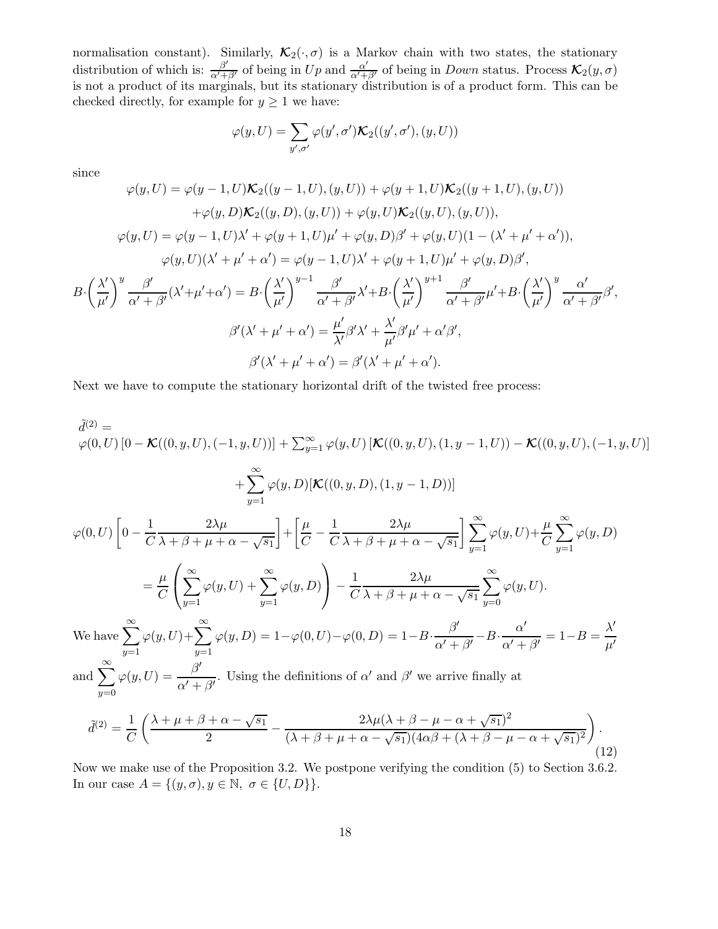normalisation constant). Similarly,  $\mathcal{K}_2(\cdot, \sigma)$  is a Markov chain with two states, the stationary distribution of which is:  $\frac{\beta'}{\alpha'+\beta'}$  of being in  $Up$  and  $\frac{\alpha'}{\alpha'+\beta'}$  of being in Down status. Process  $\mathcal{K}_2(y,\sigma)$ is not a product of its marginals, but its stationary distribution is of a product form. This can be checked directly, for example for  $y \ge 1$  we have:

$$
\varphi(y,U) = \sum_{y',\sigma'} \varphi(y',\sigma') \mathcal{K}_2((y',\sigma'),(y,U))
$$

since

 $B$ 

$$
\varphi(y,U) = \varphi(y-1,U)\mathcal{K}_2((y-1,U),(y,U)) + \varphi(y+1,U)\mathcal{K}_2((y+1,U),(y,U))
$$
  
+
$$
\varphi(y,D)\mathcal{K}_2((y,D),(y,U)) + \varphi(y,U)\mathcal{K}_2((y,U),(y,U)),
$$
  

$$
\varphi(y,U) = \varphi(y-1,U)\lambda' + \varphi(y+1,U)\mu' + \varphi(y,D)\beta' + \varphi(y,U)(1-(\lambda'+\mu'+\alpha')),
$$
  

$$
\varphi(y,U)(\lambda'+\mu'+\alpha') = \varphi(y-1,U)\lambda' + \varphi(y+1,U)\mu' + \varphi(y,D)\beta',
$$
  

$$
\left(\frac{\lambda'}{\mu'}\right)^y \frac{\beta'}{\alpha'+\beta'}(\lambda'+\mu'+\alpha') = B\cdot \left(\frac{\lambda'}{\mu'}\right)^{y-1} \frac{\beta'}{\alpha'+\beta'}\lambda' + B\cdot \left(\frac{\lambda'}{\mu'}\right)^{y+1} \frac{\beta'}{\alpha'+\beta'}\mu' + B\cdot \left(\frac{\lambda'}{\mu'}\right)^y \frac{\alpha'}{\alpha'+\beta'}\beta',
$$
  

$$
\beta'(\lambda'+\mu'+\alpha') = \frac{\mu'}{\lambda'}\beta'\lambda' + \frac{\lambda'}{\mu'}\beta'\mu' + \alpha'\beta',
$$
  

$$
\beta'(\lambda'+\mu'+\alpha') = \beta'(\lambda'+\mu'+\alpha').
$$

Next we have to compute the stationary horizontal drift of the twisted free process:

$$
\tilde{d}^{(2)} = \varphi(0,U) \left[ 0 - \mathcal{K}((0,y,U), (-1,y,U)) \right] + \sum_{y=1}^{\infty} \varphi(y,U) \left[ \mathcal{K}((0,y,U), (1,y-1,U)) - \mathcal{K}((0,y,U), (-1,y,U)) \right]
$$
  
+ 
$$
\sum_{y=1}^{\infty} \varphi(y,D) \left[ \mathcal{K}((0,y,D), (1,y-1,D)) \right]
$$
  

$$
\varphi(0,U) \left[ 0 - \frac{1}{C} \frac{2\lambda\mu}{\lambda + \beta + \mu + \alpha - \sqrt{s_1}} \right] + \left[ \frac{\mu}{C} - \frac{1}{C} \frac{2\lambda\mu}{\lambda + \beta + \mu + \alpha - \sqrt{s_1}} \right] \sum_{y=1}^{\infty} \varphi(y,U) + \frac{\mu}{C} \sum_{y=1}^{\infty} \varphi(y,D)
$$
  
= 
$$
\frac{\mu}{C} \left( \sum_{y=1}^{\infty} \varphi(y,U) + \sum_{y=1}^{\infty} \varphi(y,D) \right) - \frac{1}{C} \frac{2\lambda\mu}{\lambda + \beta + \mu + \alpha - \sqrt{s_1}} \sum_{y=0}^{\infty} \varphi(y,U).
$$
  
We have 
$$
\sum_{y=1}^{\infty} \varphi(y,U) + \sum_{y=1}^{\infty} \varphi(y,D) = 1 - \varphi(0,U) - \varphi(0,D) = 1 - B \cdot \frac{\beta'}{\alpha' + \beta'} - B \cdot \frac{\alpha'}{\alpha' + \beta'} = 1 - B = \frac{\lambda'}{\mu'}
$$
  
and 
$$
\sum_{y=0}^{\infty} \varphi(y,U) = \frac{\beta'}{\alpha' + \beta'}.
$$
 Using the definitions of  $\alpha'$  and  $\beta'$  we arrive finally at

$$
\tilde{d}^{(2)} = \frac{1}{C} \left( \frac{\lambda + \mu + \beta + \alpha - \sqrt{s_1}}{2} - \frac{2\lambda\mu(\lambda + \beta - \mu - \alpha + \sqrt{s_1})^2}{(\lambda + \beta + \mu + \alpha - \sqrt{s_1})(4\alpha\beta + (\lambda + \beta - \mu - \alpha + \sqrt{s_1})^2)} \right). \tag{12}
$$

Now we make use of the Proposition 3.2. We postpone verifying the condition (5) to Section 3.6.2. In our case  $A = \{(y, \sigma), y \in \mathbb{N}, \sigma \in \{U, D\}\}.$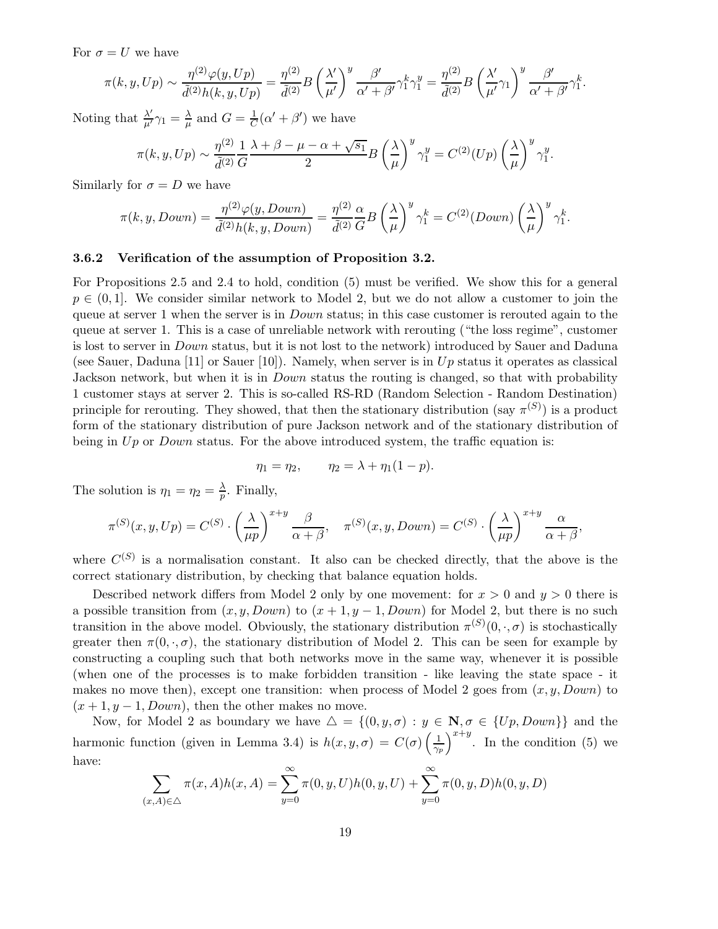For  $\sigma = U$  we have

$$
\pi(k, y, Up) \sim \frac{\eta^{(2)}\varphi(y, Up)}{\tilde{d}^{(2)}h(k, y, Up)} = \frac{\eta^{(2)}}{\tilde{d}^{(2)}}B\left(\frac{\lambda'}{\mu'}\right)^y \frac{\beta'}{\alpha' + \beta'}\gamma_1^k \gamma_1^y = \frac{\eta^{(2)}}{\tilde{d}^{(2)}}B\left(\frac{\lambda'}{\mu'}\gamma_1\right)^y \frac{\beta'}{\alpha' + \beta'}\gamma_1^k.
$$

Noting that  $\frac{\lambda'}{\mu'}\gamma_1 = \frac{\lambda}{\mu}$  $\frac{\lambda}{\mu}$  and  $G = \frac{1}{C}$  $\frac{1}{C}(\alpha' + \beta')$  we have

$$
\pi(k, y, Up) \sim \frac{\eta^{(2)}}{\tilde{d}^{(2)}} \frac{1}{G} \frac{\lambda + \beta - \mu - \alpha + \sqrt{s_1}}{2} B\left(\frac{\lambda}{\mu}\right)^y \gamma_1^y = C^{(2)}(Up) \left(\frac{\lambda}{\mu}\right)^y \gamma_1^y.
$$

Similarly for  $\sigma = D$  we have

$$
\pi(k, y, Down) = \frac{\eta^{(2)}\varphi(y, Down)}{\tilde{d}^{(2)}h(k, y, Down)} = \frac{\eta^{(2)}}{\tilde{d}^{(2)}}\frac{\alpha}{G}B\left(\frac{\lambda}{\mu}\right)^y \gamma_1^k = C^{(2)}(Down)\left(\frac{\lambda}{\mu}\right)^y \gamma_1^k.
$$

# 3.6.2 Verification of the assumption of Proposition 3.2.

For Propositions 2.5 and 2.4 to hold, condition (5) must be verified. We show this for a general  $p \in (0,1]$ . We consider similar network to Model 2, but we do not allow a customer to join the queue at server 1 when the server is in *Down* status; in this case customer is rerouted again to the queue at server 1. This is a case of unreliable network with rerouting ("the loss regime", customer is lost to server in Down status, but it is not lost to the network) introduced by Sauer and Daduna (see Sauer, Daduna [11] or Sauer [10]). Namely, when server is in  $Up$  status it operates as classical Jackson network, but when it is in *Down* status the routing is changed, so that with probability 1 customer stays at server 2. This is so-called RS-RD (Random Selection - Random Destination) principle for rerouting. They showed, that then the stationary distribution (say  $\pi^{(S)}$ ) is a product form of the stationary distribution of pure Jackson network and of the stationary distribution of being in  $Up$  or *Down* status. For the above introduced system, the traffic equation is:

$$
\eta_1=\eta_2,\qquad \eta_2=\lambda+\eta_1(1-p).
$$

The solution is  $\eta_1 = \eta_2 = \frac{\lambda}{n}$  $\frac{\lambda}{p}$ . Finally,

$$
\pi^{(S)}(x, y, Up) = C^{(S)} \cdot \left(\frac{\lambda}{\mu p}\right)^{x+y} \frac{\beta}{\alpha + \beta}, \quad \pi^{(S)}(x, y, Down) = C^{(S)} \cdot \left(\frac{\lambda}{\mu p}\right)^{x+y} \frac{\alpha}{\alpha + \beta},
$$

where  $C^{(S)}$  is a normalisation constant. It also can be checked directly, that the above is the correct stationary distribution, by checking that balance equation holds.

Described network differs from Model 2 only by one movement: for  $x > 0$  and  $y > 0$  there is a possible transition from  $(x, y, Down)$  to  $(x + 1, y - 1, Down)$  for Model 2, but there is no such transition in the above model. Obviously, the stationary distribution  $\pi^{(S)}(0, \cdot, \sigma)$  is stochastically greater then  $\pi(0, \cdot, \sigma)$ , the stationary distribution of Model 2. This can be seen for example by constructing a coupling such that both networks move in the same way, whenever it is possible (when one of the processes is to make forbidden transition - like leaving the state space - it makes no move then), except one transition: when process of Model 2 goes from  $(x, y, Down)$  to  $(x + 1, y - 1, Down)$ , then the other makes no move.

Now, for Model 2 as boundary we have  $\Delta = \{(0, y, \sigma) : y \in \mathbb{N}, \sigma \in \{Up, Down\}\}\$ and the harmonic function (given in Lemma 3.4) is  $h(x, y, \sigma) = C(\sigma) \left(\frac{1}{\gamma_p}\right)^{x+y}$ . In the condition (5) we have:

$$
\sum_{(x,A)\in\triangle} \pi(x,A)h(x,A) = \sum_{y=0}^{\infty} \pi(0,y,U)h(0,y,U) + \sum_{y=0}^{\infty} \pi(0,y,D)h(0,y,D)
$$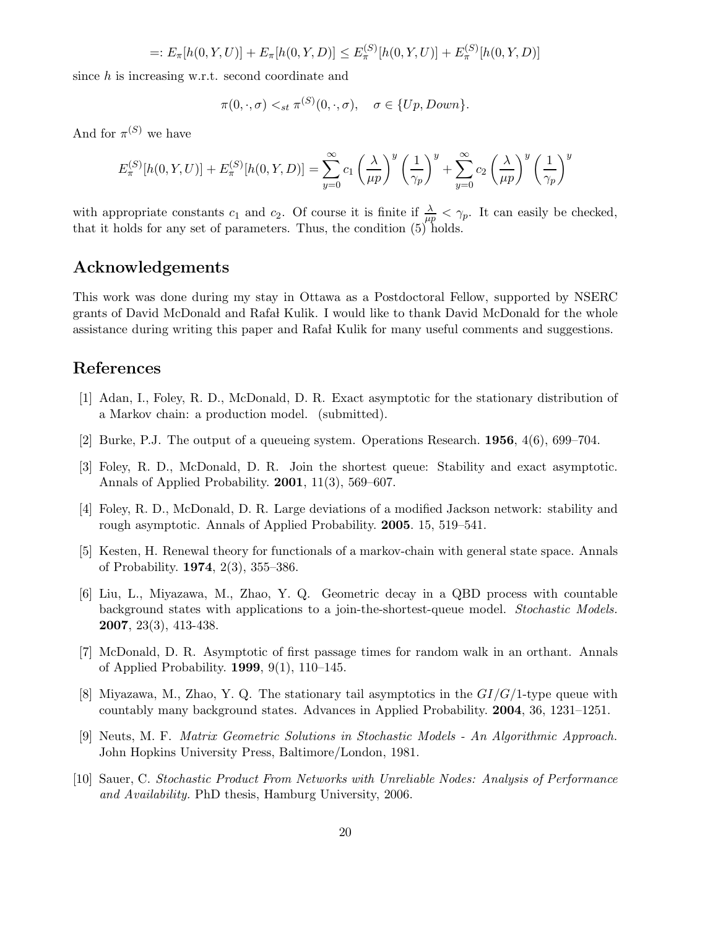$$
=: E_{\pi}[h(0, Y, U)] + E_{\pi}[h(0, Y, D)] \leq E_{\pi}^{(S)}[h(0, Y, U)] + E_{\pi}^{(S)}[h(0, Y, D)]
$$

since h is increasing w.r.t. second coordinate and

$$
\pi(0,\cdot,\sigma)<\_{st}\pi^{(S)}(0,\cdot,\sigma),\quad\sigma\in\{Up,Down\}.
$$

And for  $\pi^{(S)}$  we have

$$
E_{\pi}^{(S)}[h(0,Y,U)] + E_{\pi}^{(S)}[h(0,Y,D)] = \sum_{y=0}^{\infty} c_1 \left(\frac{\lambda}{\mu p}\right)^y \left(\frac{1}{\gamma_p}\right)^y + \sum_{y=0}^{\infty} c_2 \left(\frac{\lambda}{\mu p}\right)^y \left(\frac{1}{\gamma_p}\right)^y
$$

with appropriate constants  $c_1$  and  $c_2$ . Of course it is finite if  $\frac{\lambda}{\mu p} < \gamma_p$ . It can easily be checked, that it holds for any set of parameters. Thus, the condition  $(5)$  holds.

# Acknowledgements

This work was done during my stay in Ottawa as a Postdoctoral Fellow, supported by NSERC grants of David McDonald and Rafa Kulik. I would like to thank David McDonald for the whole assistance during writing this paper and Rafa Kulik for many useful comments and suggestions.

# References

- [1] Adan, I., Foley, R. D., McDonald, D. R. Exact asymptotic for the stationary distribution of a Markov chain: a production model. (submitted).
- [2] Burke, P.J. The output of a queueing system. Operations Research. 1956, 4(6), 699–704.
- [3] Foley, R. D., McDonald, D. R. Join the shortest queue: Stability and exact asymptotic. Annals of Applied Probability. 2001, 11(3), 569–607.
- [4] Foley, R. D., McDonald, D. R. Large deviations of a modified Jackson network: stability and rough asymptotic. Annals of Applied Probability. 2005. 15, 519–541.
- [5] Kesten, H. Renewal theory for functionals of a markov-chain with general state space. Annals of Probability. 1974, 2(3), 355–386.
- [6] Liu, L., Miyazawa, M., Zhao, Y. Q. Geometric decay in a QBD process with countable background states with applications to a join-the-shortest-queue model. *Stochastic Models.* 2007, 23(3), 413-438.
- [7] McDonald, D. R. Asymptotic of first passage times for random walk in an orthant. Annals of Applied Probability. 1999, 9(1), 110–145.
- [8] Miyazawa, M., Zhao, Y. Q. The stationary tail asymptotics in the  $GI/G/1$ -type queue with countably many background states. Advances in Applied Probability. 2004, 36, 1231–1251.
- [9] Neuts, M. F. *Matrix Geometric Solutions in Stochastic Models An Algorithmic Approach.* John Hopkins University Press, Baltimore/London, 1981.
- [10] Sauer, C. *Stochastic Product From Networks with Unreliable Nodes: Analysis of Performance and Availability.* PhD thesis, Hamburg University, 2006.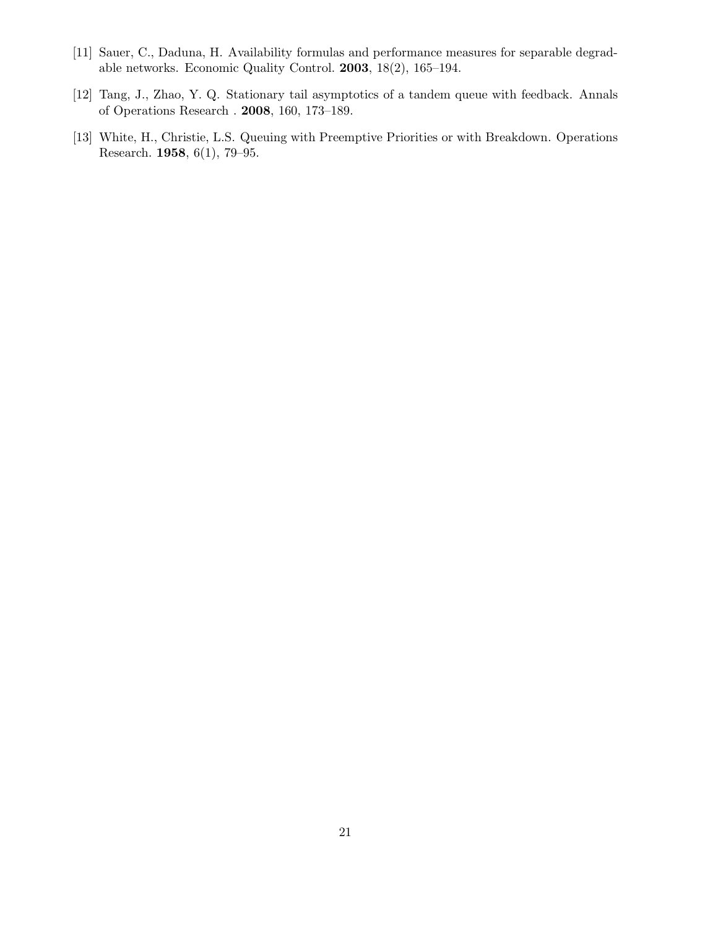- [11] Sauer, C., Daduna, H. Availability formulas and performance measures for separable degradable networks. Economic Quality Control. 2003, 18(2), 165–194.
- [12] Tang, J., Zhao, Y. Q. Stationary tail asymptotics of a tandem queue with feedback. Annals of Operations Research . 2008, 160, 173–189.
- [13] White, H., Christie, L.S. Queuing with Preemptive Priorities or with Breakdown. Operations Research. 1958, 6(1), 79–95.